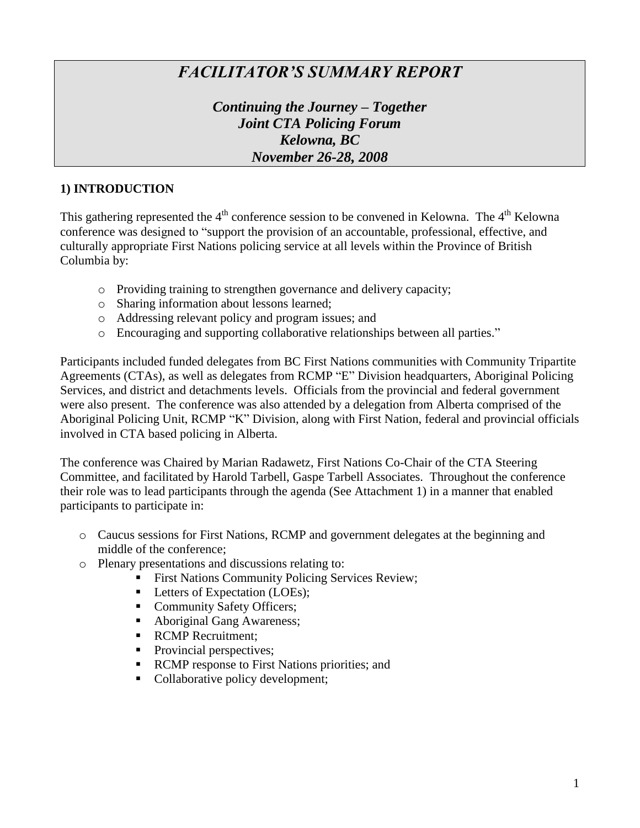# *FACILITATOR'S SUMMARY REPORT*

*Continuing the Journey – Together Joint CTA Policing Forum Kelowna, BC November 26-28, 2008*

### **1) INTRODUCTION**

This gathering represented the  $4<sup>th</sup>$  conference session to be convened in Kelowna. The  $4<sup>th</sup>$  Kelowna conference was designed to "support the provision of an accountable, professional, effective, and culturally appropriate First Nations policing service at all levels within the Province of British Columbia by:

- o Providing training to strengthen governance and delivery capacity;
- o Sharing information about lessons learned;
- o Addressing relevant policy and program issues; and
- o Encouraging and supporting collaborative relationships between all parties."

Participants included funded delegates from BC First Nations communities with Community Tripartite Agreements (CTAs), as well as delegates from RCMP "E" Division headquarters, Aboriginal Policing Services, and district and detachments levels. Officials from the provincial and federal government were also present. The conference was also attended by a delegation from Alberta comprised of the Aboriginal Policing Unit, RCMP "K" Division, along with First Nation, federal and provincial officials involved in CTA based policing in Alberta.

The conference was Chaired by Marian Radawetz, First Nations Co-Chair of the CTA Steering Committee, and facilitated by Harold Tarbell, Gaspe Tarbell Associates. Throughout the conference their role was to lead participants through the agenda (See Attachment 1) in a manner that enabled participants to participate in:

- o Caucus sessions for First Nations, RCMP and government delegates at the beginning and middle of the conference;
- o Plenary presentations and discussions relating to:
	- First Nations Community Policing Services Review;
	- Letters of Expectation (LOEs);
	- Community Safety Officers;
	- Aboriginal Gang Awareness;
	- RCMP Recruitment:
	- Provincial perspectives;
	- RCMP response to First Nations priorities; and
	- Collaborative policy development;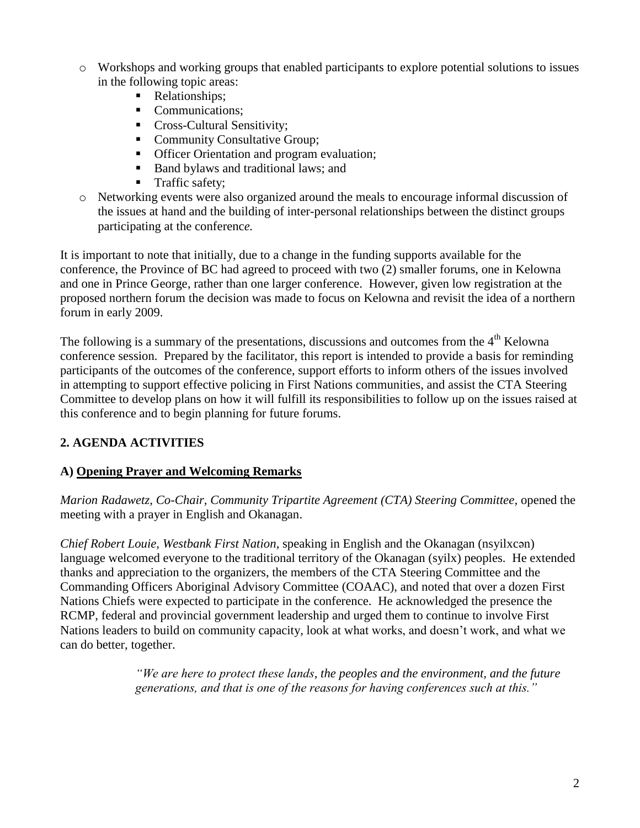- o Workshops and working groups that enabled participants to explore potential solutions to issues in the following topic areas:
	- Relationships:
	- Communications:
	- **Cross-Cultural Sensitivity;**
	- Community Consultative Group;
	- **•** Officer Orientation and program evaluation;
	- Band bylaws and traditional laws; and
	- **Traffic safety;**
- o Networking events were also organized around the meals to encourage informal discussion of the issues at hand and the building of inter-personal relationships between the distinct groups participating at the conferenc*e.*

It is important to note that initially, due to a change in the funding supports available for the conference, the Province of BC had agreed to proceed with two (2) smaller forums, one in Kelowna and one in Prince George, rather than one larger conference. However, given low registration at the proposed northern forum the decision was made to focus on Kelowna and revisit the idea of a northern forum in early 2009.

The following is a summary of the presentations, discussions and outcomes from the  $4<sup>th</sup>$  Kelowna conference session. Prepared by the facilitator, this report is intended to provide a basis for reminding participants of the outcomes of the conference, support efforts to inform others of the issues involved in attempting to support effective policing in First Nations communities, and assist the CTA Steering Committee to develop plans on how it will fulfill its responsibilities to follow up on the issues raised at this conference and to begin planning for future forums.

# **2. AGENDA ACTIVITIES**

# **A) Opening Prayer and Welcoming Remarks**

*Marion Radawetz, Co-Chair, Community Tripartite Agreement (CTA) Steering Committee,* opened the meeting with a prayer in English and Okanagan.

*Chief Robert Louie, Westbank First Nation*, speaking in English and the Okanagan (nsyilxcən) language welcomed everyone to the traditional territory of the Okanagan (syilx) peoples. He extended thanks and appreciation to the organizers, the members of the CTA Steering Committee and the Commanding Officers Aboriginal Advisory Committee (COAAC), and noted that over a dozen First Nations Chiefs were expected to participate in the conference. He acknowledged the presence the RCMP, federal and provincial government leadership and urged them to continue to involve First Nations leaders to build on community capacity, look at what works, and doesn"t work, and what we can do better, together.

> *"We are here to protect these lands, the peoples and the environment, and the future generations, and that is one of the reasons for having conferences such at this."*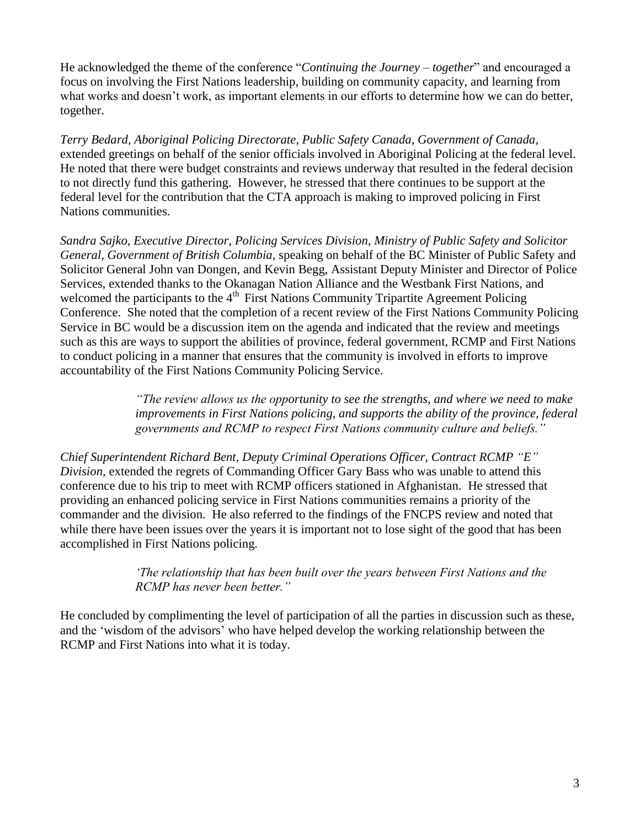He acknowledged the theme of the conference "*Continuing the Journey – together*" and encouraged a focus on involving the First Nations leadership, building on community capacity, and learning from what works and doesn't work, as important elements in our efforts to determine how we can do better, together.

*Terry Bedard, Aboriginal Policing Directorate, Public Safety Canada, Government of Canada,* extended greetings on behalf of the senior officials involved in Aboriginal Policing at the federal level. He noted that there were budget constraints and reviews underway that resulted in the federal decision to not directly fund this gathering. However, he stressed that there continues to be support at the federal level for the contribution that the CTA approach is making to improved policing in First Nations communities.

*Sandra Sajko, Executive Director, Policing Services Division, Ministry of Public Safety and Solicitor General, Government of British Columbia,* speaking on behalf of the BC Minister of Public Safety and Solicitor General John van Dongen, and Kevin Begg, Assistant Deputy Minister and Director of Police Services, extended thanks to the Okanagan Nation Alliance and the Westbank First Nations, and welcomed the participants to the 4<sup>th</sup> First Nations Community Tripartite Agreement Policing Conference. She noted that the completion of a recent review of the First Nations Community Policing Service in BC would be a discussion item on the agenda and indicated that the review and meetings such as this are ways to support the abilities of province, federal government, RCMP and First Nations to conduct policing in a manner that ensures that the community is involved in efforts to improve accountability of the First Nations Community Policing Service.

> *"The review allows us the opportunity to see the strengths, and where we need to make improvements in First Nations policing, and supports the ability of the province, federal governments and RCMP to respect First Nations community culture and beliefs."*

*Chief Superintendent Richard Bent, Deputy Criminal Operations Officer, Contract RCMP "E" Division,* extended the regrets of Commanding Officer Gary Bass who was unable to attend this conference due to his trip to meet with RCMP officers stationed in Afghanistan. He stressed that providing an enhanced policing service in First Nations communities remains a priority of the commander and the division. He also referred to the findings of the FNCPS review and noted that while there have been issues over the years it is important not to lose sight of the good that has been accomplished in First Nations policing.

> *"The relationship that has been built over the years between First Nations and the RCMP has never been better."*

He concluded by complimenting the level of participation of all the parties in discussion such as these, and the "wisdom of the advisors" who have helped develop the working relationship between the RCMP and First Nations into what it is today.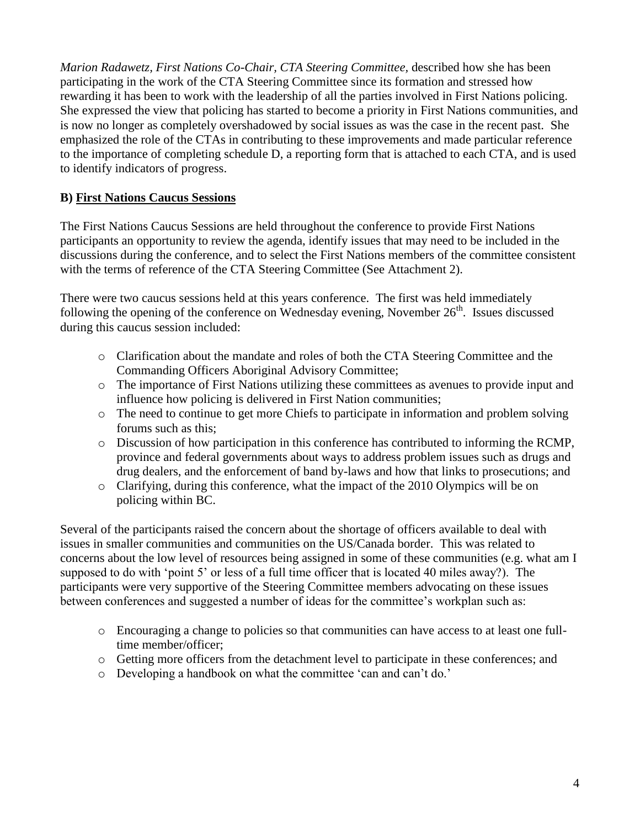*Marion Radawetz, First Nations Co-Chair, CTA Steering Committee,* described how she has been participating in the work of the CTA Steering Committee since its formation and stressed how rewarding it has been to work with the leadership of all the parties involved in First Nations policing. She expressed the view that policing has started to become a priority in First Nations communities, and is now no longer as completely overshadowed by social issues as was the case in the recent past. She emphasized the role of the CTAs in contributing to these improvements and made particular reference to the importance of completing schedule D, a reporting form that is attached to each CTA, and is used to identify indicators of progress.

# **B) First Nations Caucus Sessions**

The First Nations Caucus Sessions are held throughout the conference to provide First Nations participants an opportunity to review the agenda, identify issues that may need to be included in the discussions during the conference, and to select the First Nations members of the committee consistent with the terms of reference of the CTA Steering Committee (See Attachment 2).

There were two caucus sessions held at this years conference. The first was held immediately following the opening of the conference on Wednesday evening, November  $26<sup>th</sup>$ . Issues discussed during this caucus session included:

- o Clarification about the mandate and roles of both the CTA Steering Committee and the Commanding Officers Aboriginal Advisory Committee;
- o The importance of First Nations utilizing these committees as avenues to provide input and influence how policing is delivered in First Nation communities;
- o The need to continue to get more Chiefs to participate in information and problem solving forums such as this;
- o Discussion of how participation in this conference has contributed to informing the RCMP, province and federal governments about ways to address problem issues such as drugs and drug dealers, and the enforcement of band by-laws and how that links to prosecutions; and
- o Clarifying, during this conference, what the impact of the 2010 Olympics will be on policing within BC.

Several of the participants raised the concern about the shortage of officers available to deal with issues in smaller communities and communities on the US/Canada border. This was related to concerns about the low level of resources being assigned in some of these communities (e.g. what am I supposed to do with "point 5" or less of a full time officer that is located 40 miles away?). The participants were very supportive of the Steering Committee members advocating on these issues between conferences and suggested a number of ideas for the committee's workplan such as:

- o Encouraging a change to policies so that communities can have access to at least one fulltime member/officer;
- o Getting more officers from the detachment level to participate in these conferences; and
- o Developing a handbook on what the committee "can and can"t do."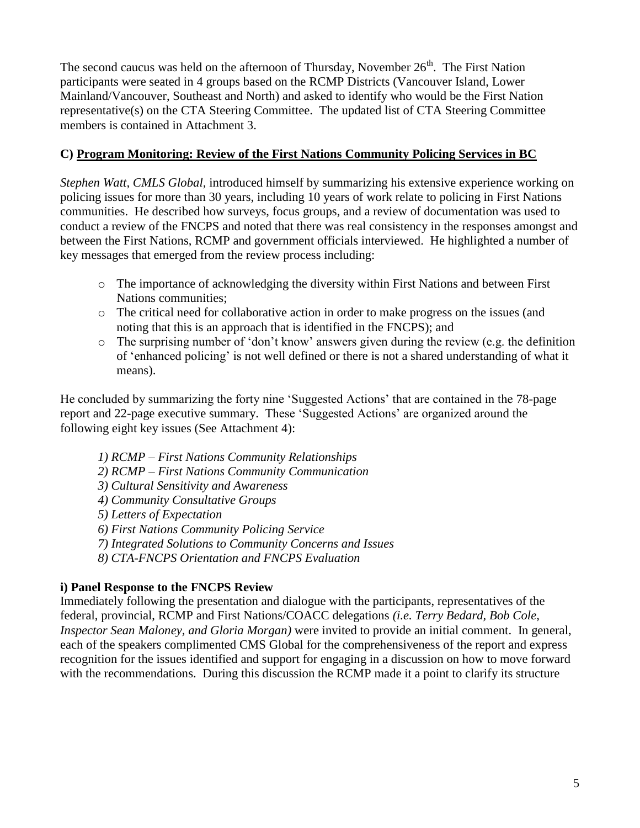The second caucus was held on the afternoon of Thursday, November  $26<sup>th</sup>$ . The First Nation participants were seated in 4 groups based on the RCMP Districts (Vancouver Island, Lower Mainland/Vancouver, Southeast and North) and asked to identify who would be the First Nation representative(s) on the CTA Steering Committee. The updated list of CTA Steering Committee members is contained in Attachment 3.

# **C) Program Monitoring: Review of the First Nations Community Policing Services in BC**

*Stephen Watt, CMLS Global,* introduced himself by summarizing his extensive experience working on policing issues for more than 30 years, including 10 years of work relate to policing in First Nations communities. He described how surveys, focus groups, and a review of documentation was used to conduct a review of the FNCPS and noted that there was real consistency in the responses amongst and between the First Nations, RCMP and government officials interviewed. He highlighted a number of key messages that emerged from the review process including:

- o The importance of acknowledging the diversity within First Nations and between First Nations communities;
- o The critical need for collaborative action in order to make progress on the issues (and noting that this is an approach that is identified in the FNCPS); and
- o The surprising number of "don"t know" answers given during the review (e.g. the definition of "enhanced policing" is not well defined or there is not a shared understanding of what it means).

He concluded by summarizing the forty nine "Suggested Actions" that are contained in the 78-page report and 22-page executive summary. These "Suggested Actions" are organized around the following eight key issues (See Attachment 4):

- *1) RCMP – First Nations Community Relationships 2) RCMP – First Nations Community Communication 3) Cultural Sensitivity and Awareness 4) Community Consultative Groups 5) Letters of Expectation 6) First Nations Community Policing Service*
- *7) Integrated Solutions to Community Concerns and Issues*
- *8) CTA-FNCPS Orientation and FNCPS Evaluation*

# **i) Panel Response to the FNCPS Review**

Immediately following the presentation and dialogue with the participants, representatives of the federal, provincial, RCMP and First Nations/COACC delegations *(i.e. Terry Bedard, Bob Cole, Inspector Sean Maloney, and Gloria Morgan)* were invited to provide an initial comment. In general, each of the speakers complimented CMS Global for the comprehensiveness of the report and express recognition for the issues identified and support for engaging in a discussion on how to move forward with the recommendations. During this discussion the RCMP made it a point to clarify its structure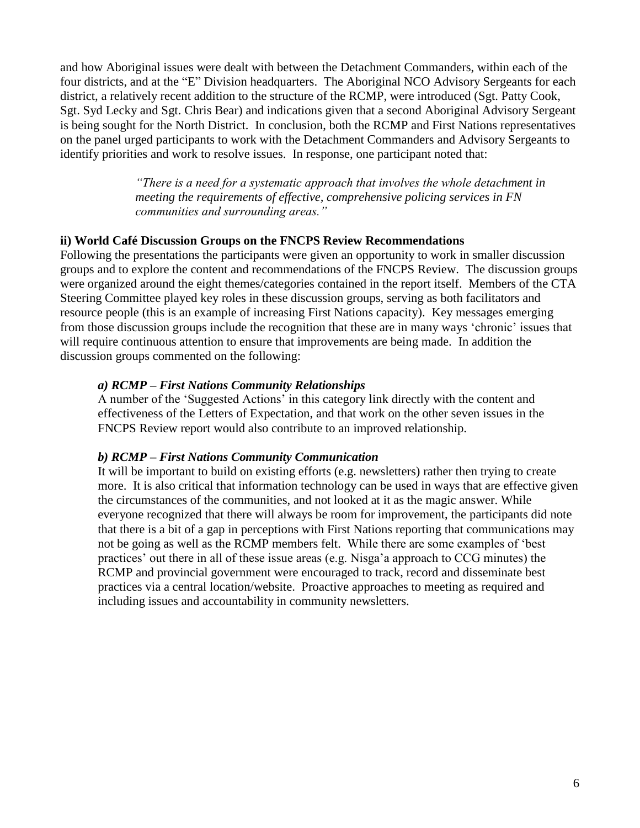and how Aboriginal issues were dealt with between the Detachment Commanders, within each of the four districts, and at the "E" Division headquarters. The Aboriginal NCO Advisory Sergeants for each district, a relatively recent addition to the structure of the RCMP, were introduced (Sgt. Patty Cook, Sgt. Syd Lecky and Sgt. Chris Bear) and indications given that a second Aboriginal Advisory Sergeant is being sought for the North District. In conclusion, both the RCMP and First Nations representatives on the panel urged participants to work with the Detachment Commanders and Advisory Sergeants to identify priorities and work to resolve issues. In response, one participant noted that:

> *"There is a need for a systematic approach that involves the whole detachment in meeting the requirements of effective, comprehensive policing services in FN communities and surrounding areas."*

#### **ii) World Café Discussion Groups on the FNCPS Review Recommendations**

Following the presentations the participants were given an opportunity to work in smaller discussion groups and to explore the content and recommendations of the FNCPS Review. The discussion groups were organized around the eight themes/categories contained in the report itself. Members of the CTA Steering Committee played key roles in these discussion groups, serving as both facilitators and resource people (this is an example of increasing First Nations capacity). Key messages emerging from those discussion groups include the recognition that these are in many ways "chronic" issues that will require continuous attention to ensure that improvements are being made. In addition the discussion groups commented on the following:

#### *a) RCMP – First Nations Community Relationships*

A number of the "Suggested Actions" in this category link directly with the content and effectiveness of the Letters of Expectation, and that work on the other seven issues in the FNCPS Review report would also contribute to an improved relationship.

#### *b) RCMP – First Nations Community Communication*

It will be important to build on existing efforts (e.g. newsletters) rather then trying to create more. It is also critical that information technology can be used in ways that are effective given the circumstances of the communities, and not looked at it as the magic answer. While everyone recognized that there will always be room for improvement, the participants did note that there is a bit of a gap in perceptions with First Nations reporting that communications may not be going as well as the RCMP members felt. While there are some examples of "best practices' out there in all of these issue areas (e.g. Nisga'a approach to CCG minutes) the RCMP and provincial government were encouraged to track, record and disseminate best practices via a central location/website. Proactive approaches to meeting as required and including issues and accountability in community newsletters.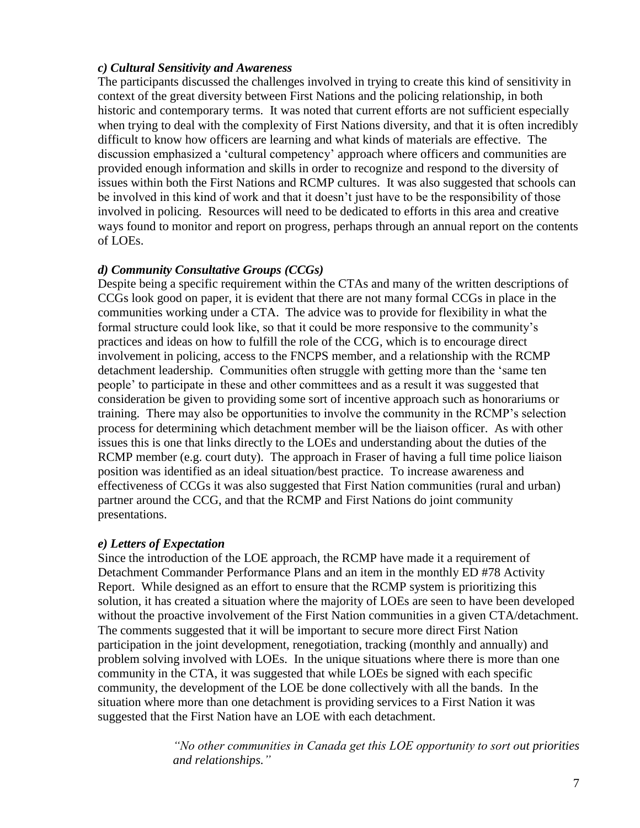#### *c) Cultural Sensitivity and Awareness*

The participants discussed the challenges involved in trying to create this kind of sensitivity in context of the great diversity between First Nations and the policing relationship, in both historic and contemporary terms. It was noted that current efforts are not sufficient especially when trying to deal with the complexity of First Nations diversity, and that it is often incredibly difficult to know how officers are learning and what kinds of materials are effective. The discussion emphasized a "cultural competency" approach where officers and communities are provided enough information and skills in order to recognize and respond to the diversity of issues within both the First Nations and RCMP cultures. It was also suggested that schools can be involved in this kind of work and that it doesn"t just have to be the responsibility of those involved in policing. Resources will need to be dedicated to efforts in this area and creative ways found to monitor and report on progress, perhaps through an annual report on the contents of LOEs.

#### *d) Community Consultative Groups (CCGs)*

Despite being a specific requirement within the CTAs and many of the written descriptions of CCGs look good on paper, it is evident that there are not many formal CCGs in place in the communities working under a CTA. The advice was to provide for flexibility in what the formal structure could look like, so that it could be more responsive to the community"s practices and ideas on how to fulfill the role of the CCG, which is to encourage direct involvement in policing, access to the FNCPS member, and a relationship with the RCMP detachment leadership. Communities often struggle with getting more than the "same ten people" to participate in these and other committees and as a result it was suggested that consideration be given to providing some sort of incentive approach such as honorariums or training. There may also be opportunities to involve the community in the RCMP"s selection process for determining which detachment member will be the liaison officer. As with other issues this is one that links directly to the LOEs and understanding about the duties of the RCMP member (e.g. court duty). The approach in Fraser of having a full time police liaison position was identified as an ideal situation/best practice. To increase awareness and effectiveness of CCGs it was also suggested that First Nation communities (rural and urban) partner around the CCG, and that the RCMP and First Nations do joint community presentations.

#### *e) Letters of Expectation*

Since the introduction of the LOE approach, the RCMP have made it a requirement of Detachment Commander Performance Plans and an item in the monthly ED #78 Activity Report. While designed as an effort to ensure that the RCMP system is prioritizing this solution, it has created a situation where the majority of LOEs are seen to have been developed without the proactive involvement of the First Nation communities in a given CTA/detachment. The comments suggested that it will be important to secure more direct First Nation participation in the joint development, renegotiation, tracking (monthly and annually) and problem solving involved with LOEs. In the unique situations where there is more than one community in the CTA, it was suggested that while LOEs be signed with each specific community, the development of the LOE be done collectively with all the bands. In the situation where more than one detachment is providing services to a First Nation it was suggested that the First Nation have an LOE with each detachment.

> *"No other communities in Canada get this LOE opportunity to sort out priorities and relationships."*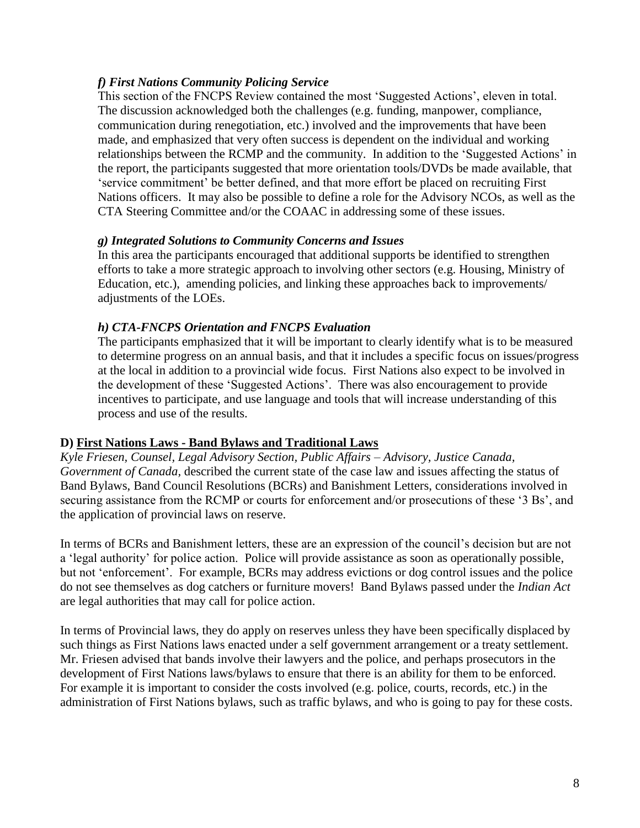# *f) First Nations Community Policing Service*

This section of the FNCPS Review contained the most "Suggested Actions", eleven in total. The discussion acknowledged both the challenges (e.g. funding, manpower, compliance, communication during renegotiation, etc.) involved and the improvements that have been made, and emphasized that very often success is dependent on the individual and working relationships between the RCMP and the community. In addition to the "Suggested Actions" in the report, the participants suggested that more orientation tools/DVDs be made available, that "service commitment" be better defined, and that more effort be placed on recruiting First Nations officers. It may also be possible to define a role for the Advisory NCOs, as well as the CTA Steering Committee and/or the COAAC in addressing some of these issues.

# *g) Integrated Solutions to Community Concerns and Issues*

In this area the participants encouraged that additional supports be identified to strengthen efforts to take a more strategic approach to involving other sectors (e.g. Housing, Ministry of Education, etc.), amending policies, and linking these approaches back to improvements/ adjustments of the LOEs.

# *h) CTA-FNCPS Orientation and FNCPS Evaluation*

The participants emphasized that it will be important to clearly identify what is to be measured to determine progress on an annual basis, and that it includes a specific focus on issues/progress at the local in addition to a provincial wide focus. First Nations also expect to be involved in the development of these "Suggested Actions". There was also encouragement to provide incentives to participate, and use language and tools that will increase understanding of this process and use of the results.

# **D) First Nations Laws - Band Bylaws and Traditional Laws**

*Kyle Friesen, Counsel, Legal Advisory Section, Public Affairs – Advisory, Justice Canada, Government of Canada,* described the current state of the case law and issues affecting the status of Band Bylaws, Band Council Resolutions (BCRs) and Banishment Letters, considerations involved in securing assistance from the RCMP or courts for enforcement and/or prosecutions of these '3 Bs', and the application of provincial laws on reserve.

In terms of BCRs and Banishment letters, these are an expression of the council"s decision but are not a "legal authority" for police action. Police will provide assistance as soon as operationally possible, but not "enforcement". For example, BCRs may address evictions or dog control issues and the police do not see themselves as dog catchers or furniture movers! Band Bylaws passed under the *Indian Act* are legal authorities that may call for police action.

In terms of Provincial laws, they do apply on reserves unless they have been specifically displaced by such things as First Nations laws enacted under a self government arrangement or a treaty settlement. Mr. Friesen advised that bands involve their lawyers and the police, and perhaps prosecutors in the development of First Nations laws/bylaws to ensure that there is an ability for them to be enforced. For example it is important to consider the costs involved (e.g. police, courts, records, etc.) in the administration of First Nations bylaws, such as traffic bylaws, and who is going to pay for these costs.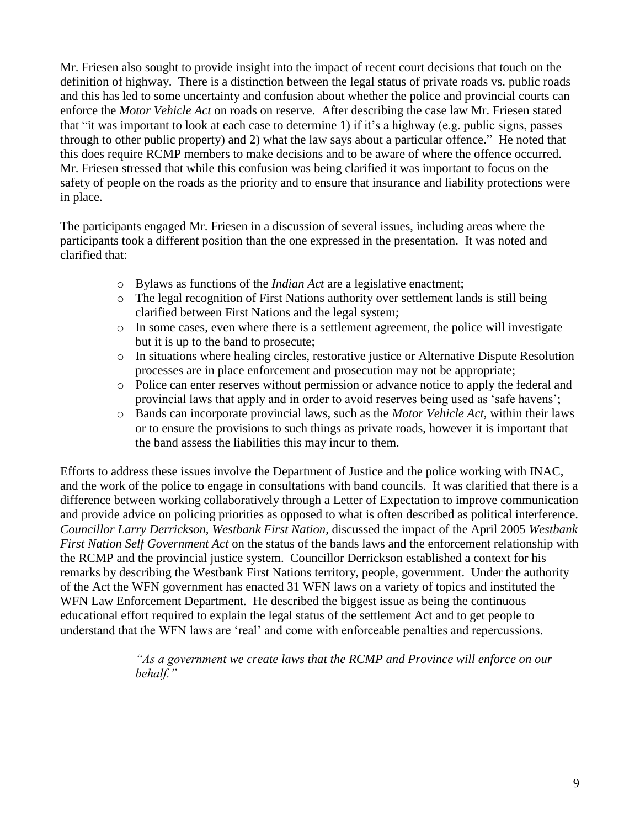Mr. Friesen also sought to provide insight into the impact of recent court decisions that touch on the definition of highway. There is a distinction between the legal status of private roads vs. public roads and this has led to some uncertainty and confusion about whether the police and provincial courts can enforce the *Motor Vehicle Act* on roads on reserve. After describing the case law Mr. Friesen stated that "it was important to look at each case to determine 1) if it"s a highway (e.g. public signs, passes through to other public property) and 2) what the law says about a particular offence." He noted that this does require RCMP members to make decisions and to be aware of where the offence occurred. Mr. Friesen stressed that while this confusion was being clarified it was important to focus on the safety of people on the roads as the priority and to ensure that insurance and liability protections were in place.

The participants engaged Mr. Friesen in a discussion of several issues, including areas where the participants took a different position than the one expressed in the presentation. It was noted and clarified that:

- o Bylaws as functions of the *Indian Act* are a legislative enactment;
- o The legal recognition of First Nations authority over settlement lands is still being clarified between First Nations and the legal system;
- o In some cases, even where there is a settlement agreement, the police will investigate but it is up to the band to prosecute;
- o In situations where healing circles, restorative justice or Alternative Dispute Resolution processes are in place enforcement and prosecution may not be appropriate;
- o Police can enter reserves without permission or advance notice to apply the federal and provincial laws that apply and in order to avoid reserves being used as "safe havens";
- o Bands can incorporate provincial laws, such as the *Motor Vehicle Act,* within their laws or to ensure the provisions to such things as private roads, however it is important that the band assess the liabilities this may incur to them.

Efforts to address these issues involve the Department of Justice and the police working with INAC, and the work of the police to engage in consultations with band councils. It was clarified that there is a difference between working collaboratively through a Letter of Expectation to improve communication and provide advice on policing priorities as opposed to what is often described as political interference. *Councillor Larry Derrickson, Westbank First Nation,* discussed the impact of the April 2005 *Westbank First Nation Self Government Act* on the status of the bands laws and the enforcement relationship with the RCMP and the provincial justice system. Councillor Derrickson established a context for his remarks by describing the Westbank First Nations territory, people, government. Under the authority of the Act the WFN government has enacted 31 WFN laws on a variety of topics and instituted the WFN Law Enforcement Department. He described the biggest issue as being the continuous educational effort required to explain the legal status of the settlement Act and to get people to understand that the WFN laws are "real" and come with enforceable penalties and repercussions.

> *"As a government we create laws that the RCMP and Province will enforce on our behalf."*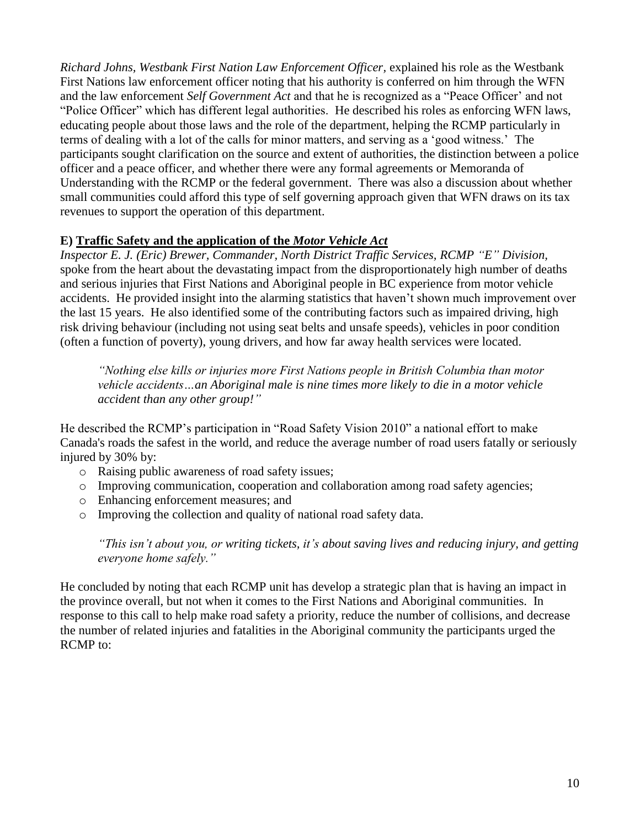*Richard Johns, Westbank First Nation Law Enforcement Officer,* explained his role as the Westbank First Nations law enforcement officer noting that his authority is conferred on him through the WFN and the law enforcement *Self Government Act* and that he is recognized as a "Peace Officer" and not "Police Officer" which has different legal authorities. He described his roles as enforcing WFN laws, educating people about those laws and the role of the department, helping the RCMP particularly in terms of dealing with a lot of the calls for minor matters, and serving as a "good witness." The participants sought clarification on the source and extent of authorities, the distinction between a police officer and a peace officer, and whether there were any formal agreements or Memoranda of Understanding with the RCMP or the federal government. There was also a discussion about whether small communities could afford this type of self governing approach given that WFN draws on its tax revenues to support the operation of this department.

# **E) Traffic Safety and the application of the** *Motor Vehicle Act*

*Inspector E. J. (Eric) Brewer, Commander, North District Traffic Services, RCMP "E" Division,* spoke from the heart about the devastating impact from the disproportionately high number of deaths and serious injuries that First Nations and Aboriginal people in BC experience from motor vehicle accidents. He provided insight into the alarming statistics that haven"t shown much improvement over the last 15 years. He also identified some of the contributing factors such as impaired driving, high risk driving behaviour (including not using seat belts and unsafe speeds), vehicles in poor condition (often a function of poverty), young drivers, and how far away health services were located.

*"Nothing else kills or injuries more First Nations people in British Columbia than motor vehicle accidents…an Aboriginal male is nine times more likely to die in a motor vehicle accident than any other group!"*

He described the RCMP"s participation in "Road Safety Vision 2010" a national effort to make Canada's roads the safest in the world, and reduce the average number of road users fatally or seriously injured by 30% by:

- o Raising public awareness of road safety issues;
- o Improving communication, cooperation and collaboration among road safety agencies;
- o Enhancing enforcement measures; and
- o Improving the collection and quality of national road safety data.

*"This isn"t about you, or writing tickets, it"s about saving lives and reducing injury, and getting everyone home safely."*

He concluded by noting that each RCMP unit has develop a strategic plan that is having an impact in the province overall, but not when it comes to the First Nations and Aboriginal communities. In response to this call to help make road safety a priority, reduce the number of collisions, and decrease the number of related injuries and fatalities in the Aboriginal community the participants urged the RCMP to: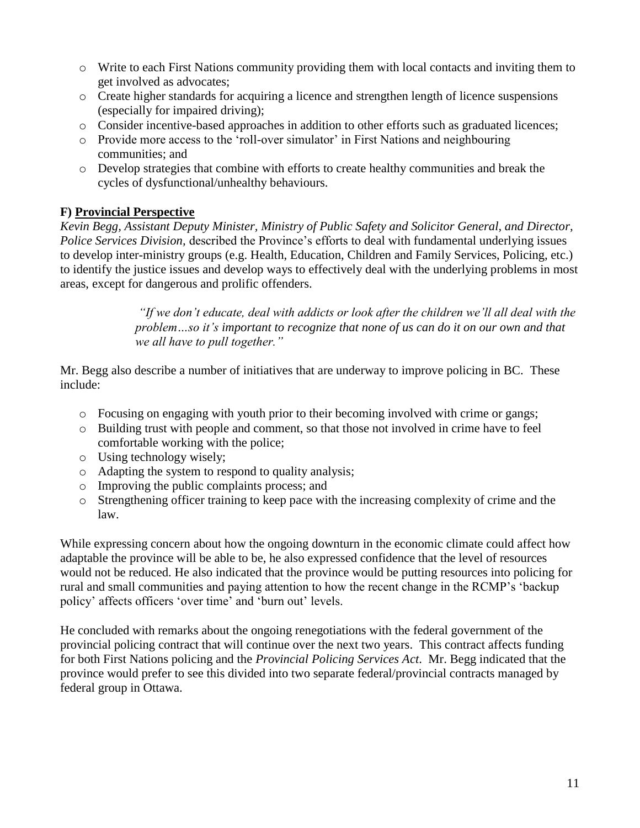- o Write to each First Nations community providing them with local contacts and inviting them to get involved as advocates;
- o Create higher standards for acquiring a licence and strengthen length of licence suspensions (especially for impaired driving);
- o Consider incentive-based approaches in addition to other efforts such as graduated licences;
- o Provide more access to the "roll-over simulator" in First Nations and neighbouring communities; and
- o Develop strategies that combine with efforts to create healthy communities and break the cycles of dysfunctional/unhealthy behaviours.

# **F) Provincial Perspective**

*Kevin Begg, Assistant Deputy Minister, Ministry of Public Safety and Solicitor General, and Director, Police Services Division,* described the Province's efforts to deal with fundamental underlying issues to develop inter-ministry groups (e.g. Health, Education, Children and Family Services, Policing, etc.) to identify the justice issues and develop ways to effectively deal with the underlying problems in most areas, except for dangerous and prolific offenders.

> *"If we don"t educate, deal with addicts or look after the children we"ll all deal with the problem…so it"s important to recognize that none of us can do it on our own and that we all have to pull together."*

Mr. Begg also describe a number of initiatives that are underway to improve policing in BC. These include:

- o Focusing on engaging with youth prior to their becoming involved with crime or gangs;
- o Building trust with people and comment, so that those not involved in crime have to feel comfortable working with the police;
- o Using technology wisely;
- o Adapting the system to respond to quality analysis;
- o Improving the public complaints process; and
- o Strengthening officer training to keep pace with the increasing complexity of crime and the law.

While expressing concern about how the ongoing downturn in the economic climate could affect how adaptable the province will be able to be, he also expressed confidence that the level of resources would not be reduced. He also indicated that the province would be putting resources into policing for rural and small communities and paying attention to how the recent change in the RCMP"s "backup policy' affects officers 'over time' and 'burn out' levels.

He concluded with remarks about the ongoing renegotiations with the federal government of the provincial policing contract that will continue over the next two years. This contract affects funding for both First Nations policing and the *Provincial Policing Services Act*. Mr. Begg indicated that the province would prefer to see this divided into two separate federal/provincial contracts managed by federal group in Ottawa.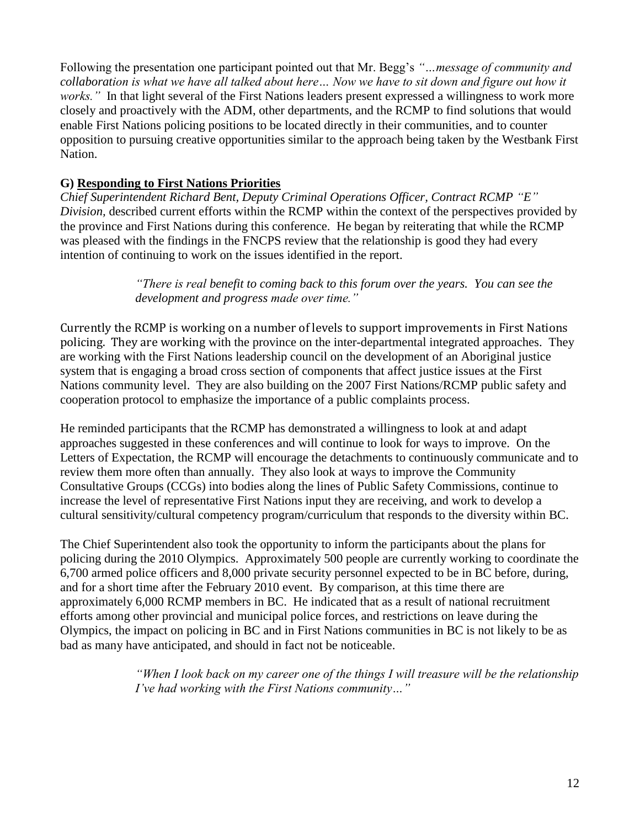Following the presentation one participant pointed out that Mr. Begg"s *"…message of community and collaboration is what we have all talked about here… Now we have to sit down and figure out how it works.*" In that light several of the First Nations leaders present expressed a willingness to work more closely and proactively with the ADM, other departments, and the RCMP to find solutions that would enable First Nations policing positions to be located directly in their communities, and to counter opposition to pursuing creative opportunities similar to the approach being taken by the Westbank First Nation.

# **G) Responding to First Nations Priorities**

*Chief Superintendent Richard Bent, Deputy Criminal Operations Officer, Contract RCMP "E" Division,* described current efforts within the RCMP within the context of the perspectives provided by the province and First Nations during this conference. He began by reiterating that while the RCMP was pleased with the findings in the FNCPS review that the relationship is good they had every intention of continuing to work on the issues identified in the report.

> *"There is real benefit to coming back to this forum over the years. You can see the development and progress made over time."*

Currently the RCMP is working on a number of levels to support improvements in First Nations policing. They are working with the province on the inter-departmental integrated approaches. They are working with the First Nations leadership council on the development of an Aboriginal justice system that is engaging a broad cross section of components that affect justice issues at the First Nations community level. They are also building on the 2007 First Nations/RCMP public safety and cooperation protocol to emphasize the importance of a public complaints process.

He reminded participants that the RCMP has demonstrated a willingness to look at and adapt approaches suggested in these conferences and will continue to look for ways to improve. On the Letters of Expectation, the RCMP will encourage the detachments to continuously communicate and to review them more often than annually. They also look at ways to improve the Community Consultative Groups (CCGs) into bodies along the lines of Public Safety Commissions, continue to increase the level of representative First Nations input they are receiving, and work to develop a cultural sensitivity/cultural competency program/curriculum that responds to the diversity within BC.

The Chief Superintendent also took the opportunity to inform the participants about the plans for policing during the 2010 Olympics. Approximately 500 people are currently working to coordinate the 6,700 armed police officers and 8,000 private security personnel expected to be in BC before, during, and for a short time after the February 2010 event. By comparison, at this time there are approximately 6,000 RCMP members in BC. He indicated that as a result of national recruitment efforts among other provincial and municipal police forces, and restrictions on leave during the Olympics, the impact on policing in BC and in First Nations communities in BC is not likely to be as bad as many have anticipated, and should in fact not be noticeable.

> *"When I look back on my career one of the things I will treasure will be the relationship I"ve had working with the First Nations community…"*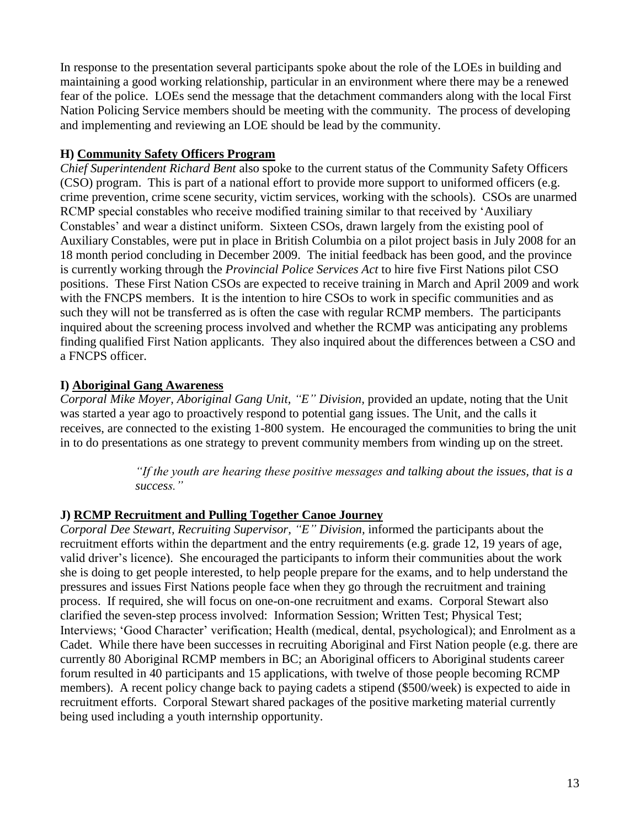In response to the presentation several participants spoke about the role of the LOEs in building and maintaining a good working relationship, particular in an environment where there may be a renewed fear of the police. LOEs send the message that the detachment commanders along with the local First Nation Policing Service members should be meeting with the community. The process of developing and implementing and reviewing an LOE should be lead by the community.

# **H) Community Safety Officers Program**

*Chief Superintendent Richard Bent* also spoke to the current status of the Community Safety Officers (CSO) program. This is part of a national effort to provide more support to uniformed officers (e.g. crime prevention, crime scene security, victim services, working with the schools). CSOs are unarmed RCMP special constables who receive modified training similar to that received by "Auxiliary Constables' and wear a distinct uniform. Sixteen CSOs, drawn largely from the existing pool of Auxiliary Constables, were put in place in British Columbia on a pilot project basis in July 2008 for an 18 month period concluding in December 2009. The initial feedback has been good, and the province is currently working through the *Provincial Police Services Act* to hire five First Nations pilot CSO positions. These First Nation CSOs are expected to receive training in March and April 2009 and work with the FNCPS members. It is the intention to hire CSOs to work in specific communities and as such they will not be transferred as is often the case with regular RCMP members. The participants inquired about the screening process involved and whether the RCMP was anticipating any problems finding qualified First Nation applicants. They also inquired about the differences between a CSO and a FNCPS officer.

# **I) Aboriginal Gang Awareness**

*Corporal Mike Moyer, Aboriginal Gang Unit, "E" Division,* provided an update, noting that the Unit was started a year ago to proactively respond to potential gang issues. The Unit, and the calls it receives, are connected to the existing 1-800 system. He encouraged the communities to bring the unit in to do presentations as one strategy to prevent community members from winding up on the street.

> *"If the youth are hearing these positive messages and talking about the issues, that is a success."*

# **J) RCMP Recruitment and Pulling Together Canoe Journey**

*Corporal Dee Stewart, Recruiting Supervisor, "E" Division,* informed the participants about the recruitment efforts within the department and the entry requirements (e.g. grade 12, 19 years of age, valid driver"s licence). She encouraged the participants to inform their communities about the work she is doing to get people interested, to help people prepare for the exams, and to help understand the pressures and issues First Nations people face when they go through the recruitment and training process. If required, she will focus on one-on-one recruitment and exams. Corporal Stewart also clarified the seven-step process involved: Information Session; Written Test; Physical Test; Interviews; "Good Character" verification; Health (medical, dental, psychological); and Enrolment as a Cadet. While there have been successes in recruiting Aboriginal and First Nation people (e.g. there are currently 80 Aboriginal RCMP members in BC; an Aboriginal officers to Aboriginal students career forum resulted in 40 participants and 15 applications, with twelve of those people becoming RCMP members). A recent policy change back to paying cadets a stipend (\$500/week) is expected to aide in recruitment efforts. Corporal Stewart shared packages of the positive marketing material currently being used including a youth internship opportunity.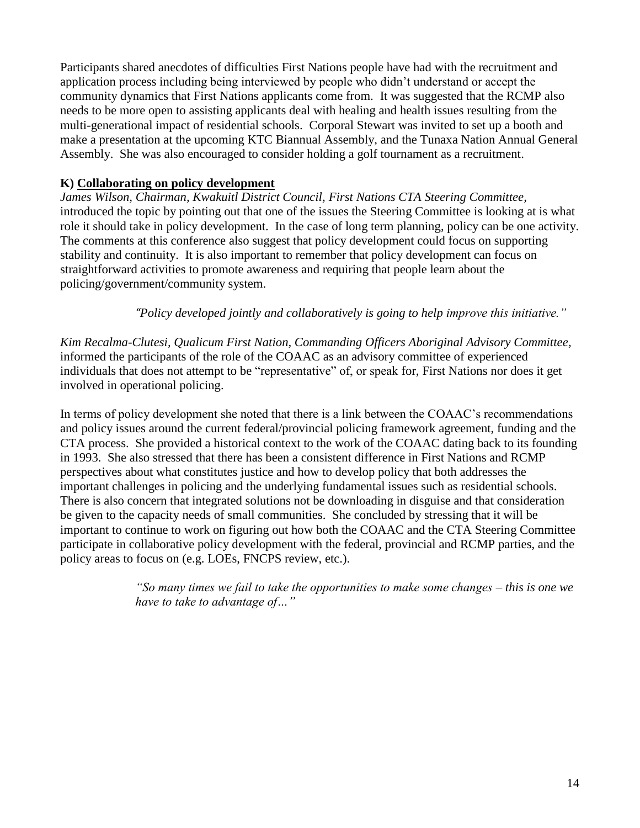Participants shared anecdotes of difficulties First Nations people have had with the recruitment and application process including being interviewed by people who didn"t understand or accept the community dynamics that First Nations applicants come from. It was suggested that the RCMP also needs to be more open to assisting applicants deal with healing and health issues resulting from the multi-generational impact of residential schools. Corporal Stewart was invited to set up a booth and make a presentation at the upcoming KTC Biannual Assembly, and the Tunaxa Nation Annual General Assembly. She was also encouraged to consider holding a golf tournament as a recruitment.

# **K) Collaborating on policy development**

*James Wilson, Chairman, Kwakuitl District Council, First Nations CTA Steering Committee,* introduced the topic by pointing out that one of the issues the Steering Committee is looking at is what role it should take in policy development. In the case of long term planning, policy can be one activity. The comments at this conference also suggest that policy development could focus on supporting stability and continuity. It is also important to remember that policy development can focus on straightforward activities to promote awareness and requiring that people learn about the policing/government/community system.

*"Policy developed jointly and collaboratively is going to help improve this initiative."*

*Kim Recalma-Clutesi, Qualicum First Nation, Commanding Officers Aboriginal Advisory Committee,* informed the participants of the role of the COAAC as an advisory committee of experienced individuals that does not attempt to be "representative" of, or speak for, First Nations nor does it get involved in operational policing.

In terms of policy development she noted that there is a link between the COAAC"s recommendations and policy issues around the current federal/provincial policing framework agreement, funding and the CTA process. She provided a historical context to the work of the COAAC dating back to its founding in 1993. She also stressed that there has been a consistent difference in First Nations and RCMP perspectives about what constitutes justice and how to develop policy that both addresses the important challenges in policing and the underlying fundamental issues such as residential schools. There is also concern that integrated solutions not be downloading in disguise and that consideration be given to the capacity needs of small communities. She concluded by stressing that it will be important to continue to work on figuring out how both the COAAC and the CTA Steering Committee participate in collaborative policy development with the federal, provincial and RCMP parties, and the policy areas to focus on (e.g. LOEs, FNCPS review, etc.).

> *"So many times we fail to take the opportunities to make some changes – this is one we have to take to advantage of…"*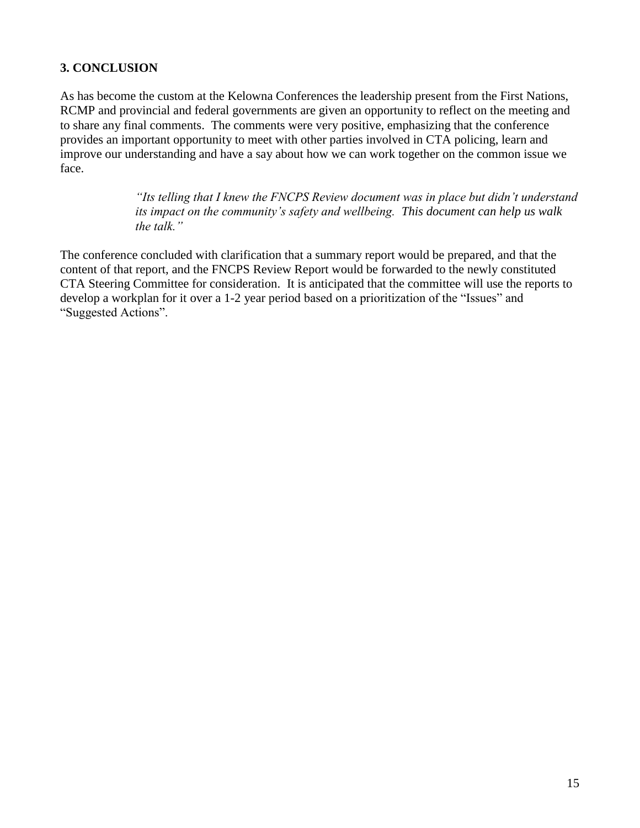# **3. CONCLUSION**

As has become the custom at the Kelowna Conferences the leadership present from the First Nations, RCMP and provincial and federal governments are given an opportunity to reflect on the meeting and to share any final comments. The comments were very positive, emphasizing that the conference provides an important opportunity to meet with other parties involved in CTA policing, learn and improve our understanding and have a say about how we can work together on the common issue we face.

> *"Its telling that I knew the FNCPS Review document was in place but didn"t understand its impact on the community"s safety and wellbeing. This document can help us walk the talk."*

The conference concluded with clarification that a summary report would be prepared, and that the content of that report, and the FNCPS Review Report would be forwarded to the newly constituted CTA Steering Committee for consideration. It is anticipated that the committee will use the reports to develop a workplan for it over a 1-2 year period based on a prioritization of the "Issues" and "Suggested Actions".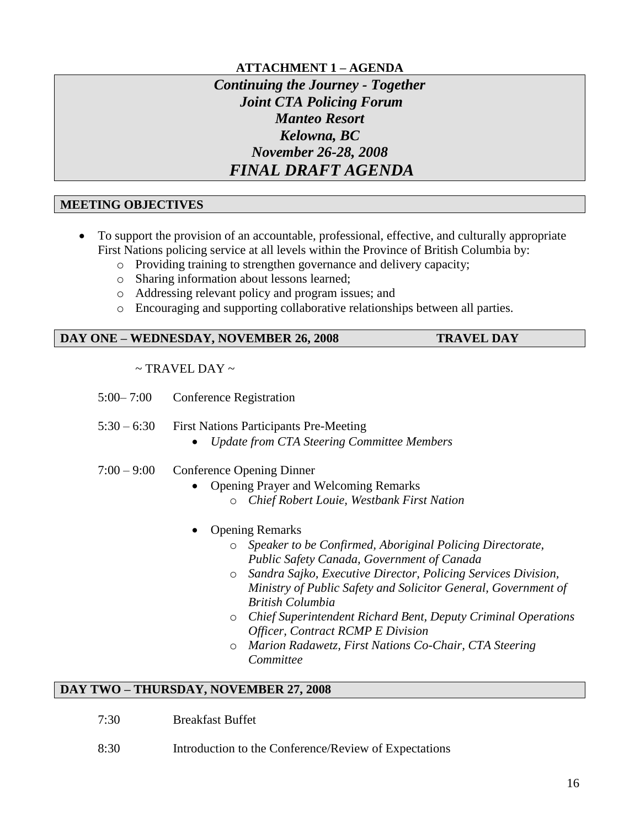# **ATTACHMENT 1 – AGENDA**

# *Continuing the Journey - Together Joint CTA Policing Forum Manteo Resort Kelowna, BC November 26-28, 2008 FINAL DRAFT AGENDA*

#### **MEETING OBJECTIVES**

- To support the provision of an accountable, professional, effective, and culturally appropriate First Nations policing service at all levels within the Province of British Columbia by:
	- o Providing training to strengthen governance and delivery capacity;
	- o Sharing information about lessons learned;
	- o Addressing relevant policy and program issues; and
	- o Encouraging and supporting collaborative relationships between all parties.

#### **DAY ONE – WEDNESDAY, NOVEMBER 26, 2008 TRAVEL DAY**

# $\sim$  TRAVEL DAY  $\sim$

- 5:00– 7:00 Conference Registration
- 5:30 6:30 First Nations Participants Pre-Meeting
	- *Update from CTA Steering Committee Members*
- 7:00 9:00 Conference Opening Dinner
	- Opening Prayer and Welcoming Remarks
		- o *Chief Robert Louie, Westbank First Nation*
	- Opening Remarks
		- o *Speaker to be Confirmed, Aboriginal Policing Directorate, Public Safety Canada, Government of Canada*
		- o *Sandra Sajko, Executive Director, Policing Services Division, Ministry of Public Safety and Solicitor General, Government of British Columbia*
		- o *Chief Superintendent Richard Bent, Deputy Criminal Operations Officer, Contract RCMP E Division*
		- o *Marion Radawetz, First Nations Co-Chair, CTA Steering Committee*

#### **DAY TWO – THURSDAY, NOVEMBER 27, 2008**

- 7:30 Breakfast Buffet
- 8:30 Introduction to the Conference/Review of Expectations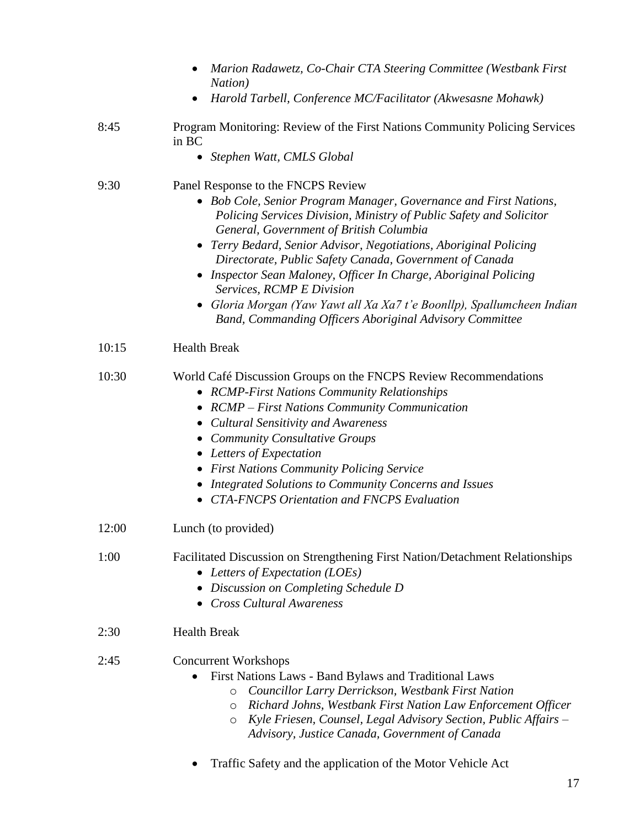|       | Marion Radawetz, Co-Chair CTA Steering Committee (Westbank First<br>Nation)                                                                                                                                                                                                                                                                                                                                                                                                                                                                                                                 |  |
|-------|---------------------------------------------------------------------------------------------------------------------------------------------------------------------------------------------------------------------------------------------------------------------------------------------------------------------------------------------------------------------------------------------------------------------------------------------------------------------------------------------------------------------------------------------------------------------------------------------|--|
|       | Harold Tarbell, Conference MC/Facilitator (Akwesasne Mohawk)<br>٠                                                                                                                                                                                                                                                                                                                                                                                                                                                                                                                           |  |
| 8:45  | Program Monitoring: Review of the First Nations Community Policing Services<br>in BC                                                                                                                                                                                                                                                                                                                                                                                                                                                                                                        |  |
|       | Stephen Watt, CMLS Global<br>$\bullet$                                                                                                                                                                                                                                                                                                                                                                                                                                                                                                                                                      |  |
| 9:30  | Panel Response to the FNCPS Review<br>• Bob Cole, Senior Program Manager, Governance and First Nations,<br>Policing Services Division, Ministry of Public Safety and Solicitor<br>General, Government of British Columbia<br>Terry Bedard, Senior Advisor, Negotiations, Aboriginal Policing<br>Directorate, Public Safety Canada, Government of Canada<br>• Inspector Sean Maloney, Officer In Charge, Aboriginal Policing<br>Services, RCMP E Division<br>Gloria Morgan (Yaw Yawt all Xa Xa7 t'e Boonllp), Spallumcheen Indian<br>Band, Commanding Officers Aboriginal Advisory Committee |  |
| 10:15 | <b>Health Break</b>                                                                                                                                                                                                                                                                                                                                                                                                                                                                                                                                                                         |  |
| 10:30 | World Café Discussion Groups on the FNCPS Review Recommendations<br>• RCMP-First Nations Community Relationships<br><b>RCMP</b> – First Nations Community Communication<br>$\bullet$<br><b>Cultural Sensitivity and Awareness</b><br>• Community Consultative Groups<br>• Letters of Expectation<br>• First Nations Community Policing Service<br>Integrated Solutions to Community Concerns and Issues<br>• CTA-FNCPS Orientation and FNCPS Evaluation                                                                                                                                     |  |
| 12:00 | Lunch (to provided)                                                                                                                                                                                                                                                                                                                                                                                                                                                                                                                                                                         |  |
| 1:00  | Facilitated Discussion on Strengthening First Nation/Detachment Relationships<br>• Letters of Expectation (LOEs)<br>Discussion on Completing Schedule D<br>• Cross Cultural Awareness                                                                                                                                                                                                                                                                                                                                                                                                       |  |
| 2:30  | <b>Health Break</b>                                                                                                                                                                                                                                                                                                                                                                                                                                                                                                                                                                         |  |
| 2:45  | <b>Concurrent Workshops</b><br>First Nations Laws - Band Bylaws and Traditional Laws<br>$\bullet$<br>Councillor Larry Derrickson, Westbank First Nation<br>$\circ$<br>Richard Johns, Westbank First Nation Law Enforcement Officer<br>O<br>Kyle Friesen, Counsel, Legal Advisory Section, Public Affairs –<br>O<br>Advisory, Justice Canada, Government of Canada                                                                                                                                                                                                                           |  |
|       | Traffic Safety and the application of the Motor Vehicle Act                                                                                                                                                                                                                                                                                                                                                                                                                                                                                                                                 |  |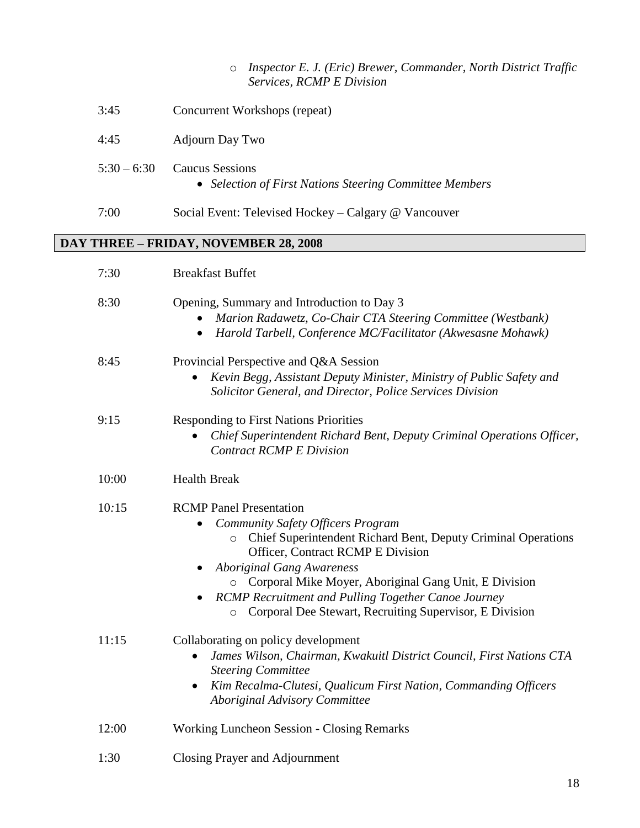| ○ Inspector E. J. (Eric) Brewer, Commander, North District Traffic |
|--------------------------------------------------------------------|
| <i>Services, RCMP E Division</i>                                   |

| 3:45                                         | Concurrent Workshops (repeat)                                              |  |  |
|----------------------------------------------|----------------------------------------------------------------------------|--|--|
| 4:45                                         | <b>Adjourn Day Two</b>                                                     |  |  |
| $5:30 - 6:30$                                | Caucus Sessions<br>• Selection of First Nations Steering Committee Members |  |  |
| 7:00                                         | Social Event: Televised Hockey – Calgary @ Vancouver                       |  |  |
| <b>DAY THREE - FRIDAY, NOVEMBER 28, 2008</b> |                                                                            |  |  |
| 7:30                                         | <b>Breakfast Buffet</b>                                                    |  |  |

| 8:30  | Opening, Summary and Introduction to Day 3<br>Marion Radawetz, Co-Chair CTA Steering Committee (Westbank)<br>Harold Tarbell, Conference MC/Facilitator (Akwesasne Mohawk)<br>٠                                                                                                                                                                                                                                                 |
|-------|--------------------------------------------------------------------------------------------------------------------------------------------------------------------------------------------------------------------------------------------------------------------------------------------------------------------------------------------------------------------------------------------------------------------------------|
| 8:45  | Provincial Perspective and Q&A Session<br>Kevin Begg, Assistant Deputy Minister, Ministry of Public Safety and<br>Solicitor General, and Director, Police Services Division                                                                                                                                                                                                                                                    |
| 9:15  | <b>Responding to First Nations Priorities</b><br>Chief Superintendent Richard Bent, Deputy Criminal Operations Officer,<br><b>Contract RCMP E Division</b>                                                                                                                                                                                                                                                                     |
| 10:00 | <b>Health Break</b>                                                                                                                                                                                                                                                                                                                                                                                                            |
| 10:15 | <b>RCMP</b> Panel Presentation<br><b>Community Safety Officers Program</b><br>Chief Superintendent Richard Bent, Deputy Criminal Operations<br>$\circ$<br><b>Officer, Contract RCMP E Division</b><br><b>Aboriginal Gang Awareness</b><br>O Corporal Mike Moyer, Aboriginal Gang Unit, E Division<br>RCMP Recruitment and Pulling Together Canoe Journey<br>Corporal Dee Stewart, Recruiting Supervisor, E Division<br>$\circ$ |
| 11:15 | Collaborating on policy development<br>James Wilson, Chairman, Kwakuitl District Council, First Nations CTA<br>$\bullet$<br><b>Steering Committee</b><br>Kim Recalma-Clutesi, Qualicum First Nation, Commanding Officers<br>$\bullet$<br><b>Aboriginal Advisory Committee</b>                                                                                                                                                  |
| 12:00 | <b>Working Luncheon Session - Closing Remarks</b>                                                                                                                                                                                                                                                                                                                                                                              |

1:30 Closing Prayer and Adjournment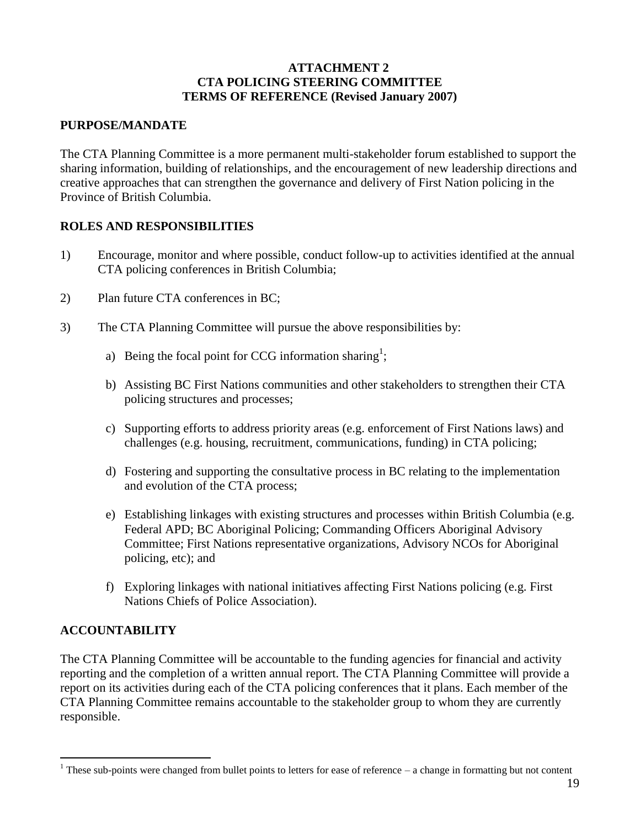#### **ATTACHMENT 2 CTA POLICING STEERING COMMITTEE TERMS OF REFERENCE (Revised January 2007)**

# **PURPOSE/MANDATE**

The CTA Planning Committee is a more permanent multi-stakeholder forum established to support the sharing information, building of relationships, and the encouragement of new leadership directions and creative approaches that can strengthen the governance and delivery of First Nation policing in the Province of British Columbia.

# **ROLES AND RESPONSIBILITIES**

- 1) Encourage, monitor and where possible, conduct follow-up to activities identified at the annual CTA policing conferences in British Columbia;
- 2) Plan future CTA conferences in BC;
- 3) The CTA Planning Committee will pursue the above responsibilities by:
	- a) Being the focal point for CCG information sharing<sup>1</sup>;
	- b) Assisting BC First Nations communities and other stakeholders to strengthen their CTA policing structures and processes;
	- c) Supporting efforts to address priority areas (e.g. enforcement of First Nations laws) and challenges (e.g. housing, recruitment, communications, funding) in CTA policing;
	- d) Fostering and supporting the consultative process in BC relating to the implementation and evolution of the CTA process;
	- e) Establishing linkages with existing structures and processes within British Columbia (e.g. Federal APD; BC Aboriginal Policing; Commanding Officers Aboriginal Advisory Committee; First Nations representative organizations, Advisory NCOs for Aboriginal policing, etc); and
	- f) Exploring linkages with national initiatives affecting First Nations policing (e.g. First Nations Chiefs of Police Association).

# **ACCOUNTABILITY**

 $\overline{a}$ 

The CTA Planning Committee will be accountable to the funding agencies for financial and activity reporting and the completion of a written annual report. The CTA Planning Committee will provide a report on its activities during each of the CTA policing conferences that it plans. Each member of the CTA Planning Committee remains accountable to the stakeholder group to whom they are currently responsible.

<sup>&</sup>lt;sup>1</sup> These sub-points were changed from bullet points to letters for ease of reference  $-$  a change in formatting but not content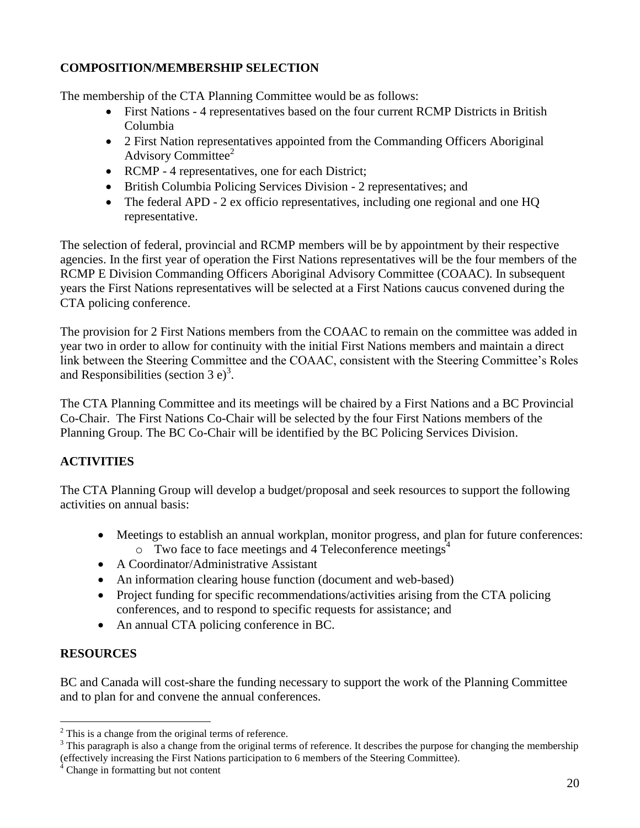# **COMPOSITION/MEMBERSHIP SELECTION**

The membership of the CTA Planning Committee would be as follows:

- First Nations 4 representatives based on the four current RCMP Districts in British Columbia
- 2 First Nation representatives appointed from the Commanding Officers Aboriginal Advisory Committee<sup>2</sup>
- RCMP 4 representatives, one for each District;
- British Columbia Policing Services Division 2 representatives; and
- The federal APD 2 ex officio representatives, including one regional and one HQ representative.

The selection of federal, provincial and RCMP members will be by appointment by their respective agencies. In the first year of operation the First Nations representatives will be the four members of the RCMP E Division Commanding Officers Aboriginal Advisory Committee (COAAC). In subsequent years the First Nations representatives will be selected at a First Nations caucus convened during the CTA policing conference.

The provision for 2 First Nations members from the COAAC to remain on the committee was added in year two in order to allow for continuity with the initial First Nations members and maintain a direct link between the Steering Committee and the COAAC, consistent with the Steering Committee"s Roles and Responsibilities (section  $3 e^3$ .

The CTA Planning Committee and its meetings will be chaired by a First Nations and a BC Provincial Co-Chair. The First Nations Co-Chair will be selected by the four First Nations members of the Planning Group. The BC Co-Chair will be identified by the BC Policing Services Division.

# **ACTIVITIES**

The CTA Planning Group will develop a budget/proposal and seek resources to support the following activities on annual basis:

- Meetings to establish an annual workplan, monitor progress, and plan for future conferences:  $\circ$  Two face to face meetings and 4 Teleconference meetings<sup>4</sup>
- A Coordinator/Administrative Assistant
- An information clearing house function (document and web-based)
- Project funding for specific recommendations/activities arising from the CTA policing conferences, and to respond to specific requests for assistance; and
- An annual CTA policing conference in BC.

# **RESOURCES**

 $\overline{a}$ 

BC and Canada will cost-share the funding necessary to support the work of the Planning Committee and to plan for and convene the annual conferences.

 $2$  This is a change from the original terms of reference.

<sup>&</sup>lt;sup>3</sup> This paragraph is also a change from the original terms of reference. It describes the purpose for changing the membership (effectively increasing the First Nations participation to 6 members of the Steering Committee).

<sup>&</sup>lt;sup>4</sup> Change in formatting but not content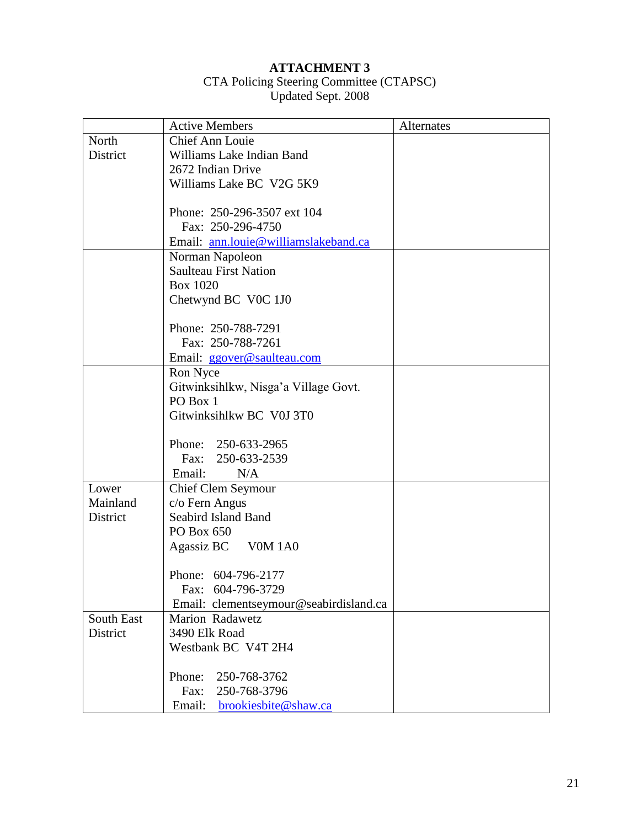### **ATTACHMENT 3**

#### CTA Policing Steering Committee (CTAPSC) Updated Sept. 2008

|            | <b>Active Members</b>                  | Alternates |
|------------|----------------------------------------|------------|
| North      | Chief Ann Louie                        |            |
| District   | Williams Lake Indian Band              |            |
|            | 2672 Indian Drive                      |            |
|            | Williams Lake BC V2G 5K9               |            |
|            |                                        |            |
|            | Phone: 250-296-3507 ext 104            |            |
|            | Fax: 250-296-4750                      |            |
|            | Email: ann.louie@williamslakeband.ca   |            |
|            | Norman Napoleon                        |            |
|            | <b>Saulteau First Nation</b>           |            |
|            | <b>Box 1020</b>                        |            |
|            | Chetwynd BC V0C 1J0                    |            |
|            |                                        |            |
|            | Phone: 250-788-7291                    |            |
|            | Fax: 250-788-7261                      |            |
|            | Email: ggover@saulteau.com             |            |
|            | Ron Nyce                               |            |
|            | Gitwinksihlkw, Nisga'a Village Govt.   |            |
|            | PO Box 1                               |            |
|            | Gitwinksihlkw BC V0J 3T0               |            |
|            |                                        |            |
|            | Phone: 250-633-2965                    |            |
|            | Fax: 250-633-2539                      |            |
|            | Email:<br>N/A                          |            |
| Lower      | <b>Chief Clem Seymour</b>              |            |
| Mainland   | c/o Fern Angus                         |            |
| District   | Seabird Island Band                    |            |
|            | PO Box 650                             |            |
|            | Agassiz BC V0M 1A0                     |            |
|            |                                        |            |
|            | Phone: 604-796-2177                    |            |
|            | Fax: 604-796-3729                      |            |
|            | Email: clementseymour@seabirdisland.ca |            |
| South East | Marion Radawetz                        |            |
| District   | 3490 Elk Road                          |            |
|            | Westbank BC V4T 2H4                    |            |
|            |                                        |            |
|            | 250-768-3762<br>Phone:                 |            |
|            | 250-768-3796<br>Fax:                   |            |
|            | Email:<br>brookiesbite@shaw.ca         |            |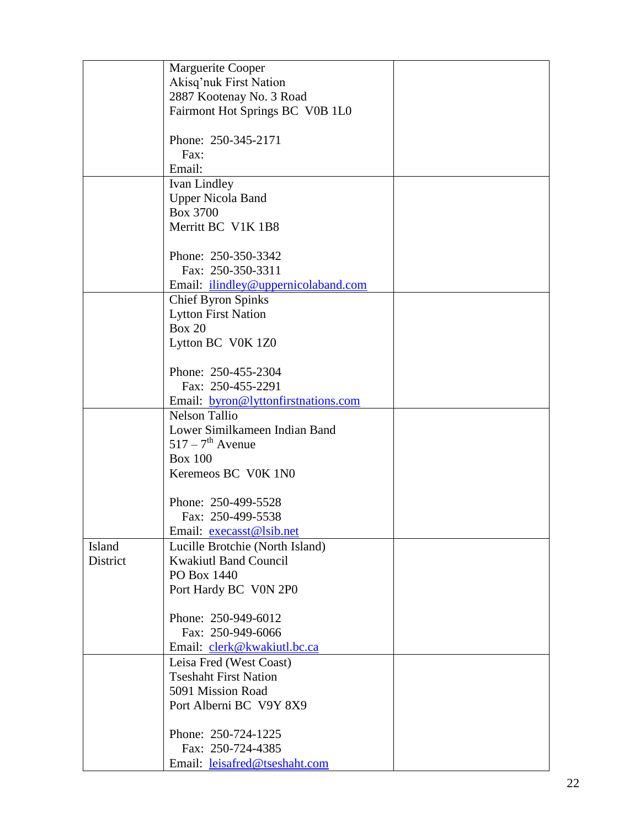|          | Marguerite Cooper                                               |  |
|----------|-----------------------------------------------------------------|--|
|          | Akisq'nuk First Nation                                          |  |
|          | 2887 Kootenay No. 3 Road                                        |  |
|          | Fairmont Hot Springs BC V0B 1L0                                 |  |
|          |                                                                 |  |
|          | Phone: 250-345-2171                                             |  |
|          | Fax:                                                            |  |
|          | Email:                                                          |  |
|          | Ivan Lindley                                                    |  |
|          | <b>Upper Nicola Band</b>                                        |  |
|          | Box 3700                                                        |  |
|          | Merritt BC V1K 1B8                                              |  |
|          |                                                                 |  |
|          | Phone: 250-350-3342                                             |  |
|          | Fax: 250-350-3311                                               |  |
|          | Email: ilindley@uppernicolaband.com                             |  |
|          | <b>Chief Byron Spinks</b>                                       |  |
|          | <b>Lytton First Nation</b>                                      |  |
|          | <b>Box 20</b>                                                   |  |
|          | Lytton BC V0K 1Z0                                               |  |
|          |                                                                 |  |
|          | Phone: 250-455-2304                                             |  |
|          | Fax: 250-455-2291                                               |  |
|          | Email: byron@lyttonfirstnations.com                             |  |
|          | <b>Nelson Tallio</b>                                            |  |
|          | Lower Similkameen Indian Band<br>$517 - 7$ <sup>th</sup> Avenue |  |
|          | <b>Box 100</b>                                                  |  |
|          | Keremeos BC V0K 1N0                                             |  |
|          |                                                                 |  |
|          | Phone: 250-499-5528                                             |  |
|          | Fax: 250-499-5538                                               |  |
|          | Email: execasst@lsib.net                                        |  |
| Island   | Lucille Brotchie (North Island)                                 |  |
| District | <b>Kwakiutl Band Council</b>                                    |  |
|          | PO Box 1440                                                     |  |
|          | Port Hardy BC V0N 2P0                                           |  |
|          |                                                                 |  |
|          | Phone: 250-949-6012                                             |  |
|          | Fax: 250-949-6066                                               |  |
|          | Email: clerk@kwakiutl.bc.ca                                     |  |
|          | Leisa Fred (West Coast)                                         |  |
|          | <b>Tseshaht First Nation</b>                                    |  |
|          | 5091 Mission Road                                               |  |
|          | Port Alberni BC V9Y 8X9                                         |  |
|          |                                                                 |  |
|          | Phone: 250-724-1225                                             |  |
|          | Fax: 250-724-4385                                               |  |
|          | Email: leisafred@tseshaht.com                                   |  |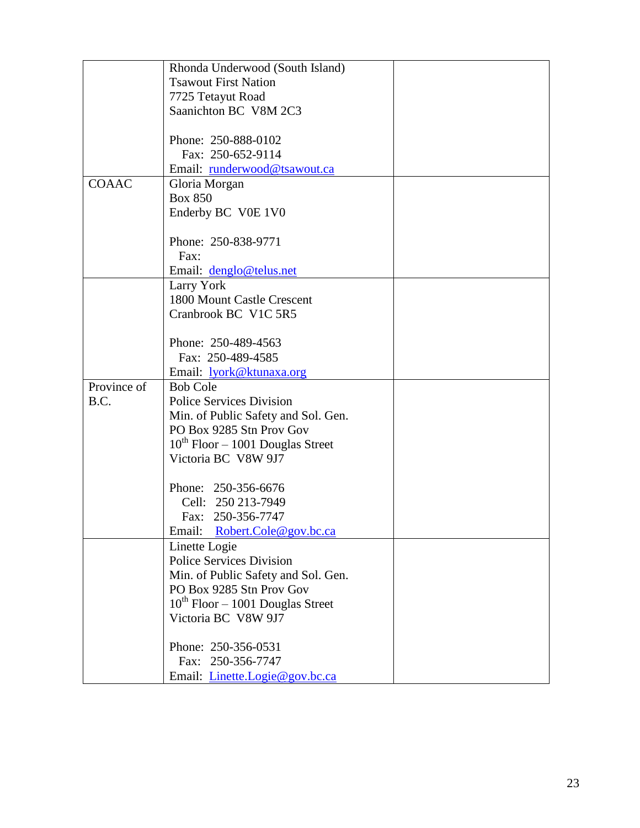|              | Rhonda Underwood (South Island)       |  |
|--------------|---------------------------------------|--|
|              | <b>Tsawout First Nation</b>           |  |
|              | 7725 Tetayut Road                     |  |
|              | Saanichton BC V8M 2C3                 |  |
|              |                                       |  |
|              | Phone: 250-888-0102                   |  |
|              | Fax: 250-652-9114                     |  |
|              | Email: runderwood@tsawout.ca          |  |
| <b>COAAC</b> | Gloria Morgan                         |  |
|              | <b>Box 850</b>                        |  |
|              | Enderby BC V0E 1V0                    |  |
|              |                                       |  |
|              | Phone: 250-838-9771                   |  |
|              | Fax:                                  |  |
|              |                                       |  |
|              | Email: denglo@telus.net               |  |
|              | Larry York                            |  |
|              | 1800 Mount Castle Crescent            |  |
|              | Cranbrook BC V1C 5R5                  |  |
|              |                                       |  |
|              | Phone: 250-489-4563                   |  |
|              | Fax: 250-489-4585                     |  |
|              | Email: lyork@ktunaxa.org              |  |
| Province of  | <b>Bob Cole</b>                       |  |
| B.C.         | <b>Police Services Division</b>       |  |
|              | Min. of Public Safety and Sol. Gen.   |  |
|              | PO Box 9285 Stn Prov Gov              |  |
|              | $10^{th}$ Floor – 1001 Douglas Street |  |
|              | Victoria BC V8W 9J7                   |  |
|              |                                       |  |
|              | Phone: 250-356-6676                   |  |
|              | Cell: 250 213-7949                    |  |
|              | Fax: 250-356-7747                     |  |
|              | Robert.Cole@gov.bc.ca<br>Email:       |  |
|              | Linette Logie                         |  |
|              | <b>Police Services Division</b>       |  |
|              | Min. of Public Safety and Sol. Gen.   |  |
|              | PO Box 9285 Stn Prov Gov              |  |
|              | $10^{th}$ Floor – 1001 Douglas Street |  |
|              | Victoria BC V8W 9J7                   |  |
|              |                                       |  |
|              | Phone: 250-356-0531                   |  |
|              | Fax: 250-356-7747                     |  |
|              |                                       |  |
|              | Email: <i>Linette.Logie@gov.bc.ca</i> |  |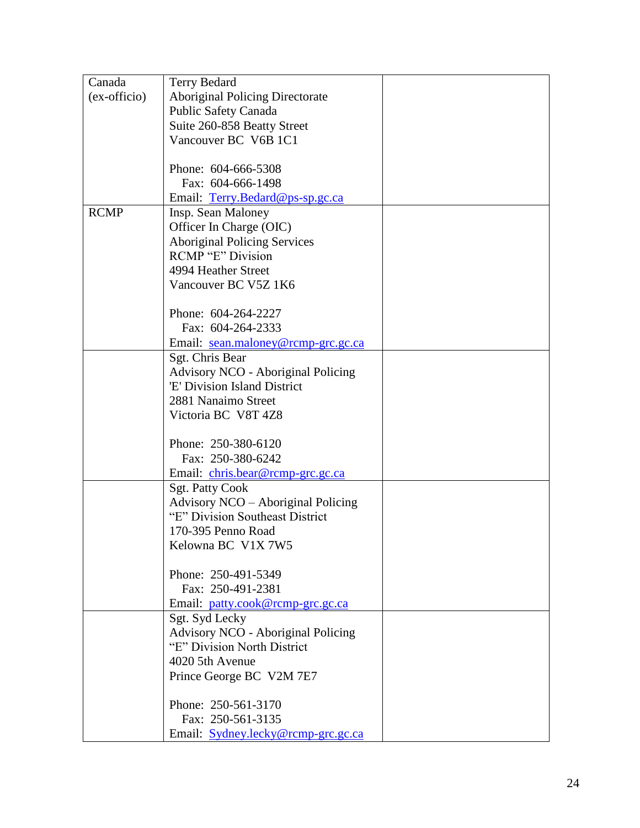| Canada       | <b>Terry Bedard</b>                       |  |
|--------------|-------------------------------------------|--|
| (ex-officio) | <b>Aboriginal Policing Directorate</b>    |  |
|              | <b>Public Safety Canada</b>               |  |
|              | Suite 260-858 Beatty Street               |  |
|              | Vancouver BC V6B 1C1                      |  |
|              |                                           |  |
|              | Phone: 604-666-5308                       |  |
|              | Fax: 604-666-1498                         |  |
|              | Email: Terry.Bedard@ps-sp.gc.ca           |  |
| <b>RCMP</b>  | Insp. Sean Maloney                        |  |
|              | Officer In Charge (OIC)                   |  |
|              | <b>Aboriginal Policing Services</b>       |  |
|              | <b>RCMP</b> "E" Division                  |  |
|              | 4994 Heather Street                       |  |
|              | Vancouver BC V5Z 1K6                      |  |
|              |                                           |  |
|              | Phone: 604-264-2227                       |  |
|              | Fax: 604-264-2333                         |  |
|              | Email: sean.maloney@rcmp-grc.gc.ca        |  |
|              | Sgt. Chris Bear                           |  |
|              | <b>Advisory NCO - Aboriginal Policing</b> |  |
|              | 'E' Division Island District              |  |
|              | 2881 Nanaimo Street                       |  |
|              | Victoria BC V8T 4Z8                       |  |
|              |                                           |  |
|              | Phone: 250-380-6120                       |  |
|              | Fax: 250-380-6242                         |  |
|              |                                           |  |
|              | Email: chris.bear@rcmp-grc.gc.ca          |  |
|              | <b>Sgt. Patty Cook</b>                    |  |
|              | Advisory NCO - Aboriginal Policing        |  |
|              | "E" Division Southeast District           |  |
|              | 170-395 Penno Road                        |  |
|              | Kelowna BC V1X 7W5                        |  |
|              |                                           |  |
|              | Phone: 250-491-5349                       |  |
|              | Fax: 250-491-2381                         |  |
|              | Email: patty.cook@rcmp-grc.gc.ca          |  |
|              | Sgt. Syd Lecky                            |  |
|              | <b>Advisory NCO - Aboriginal Policing</b> |  |
|              | "E" Division North District               |  |
|              | 4020 5th Avenue                           |  |
|              | Prince George BC V2M 7E7                  |  |
|              |                                           |  |
|              | Phone: 250-561-3170                       |  |
|              | Fax: 250-561-3135                         |  |
|              | Email: Sydney.lecky@rcmp-grc.gc.ca        |  |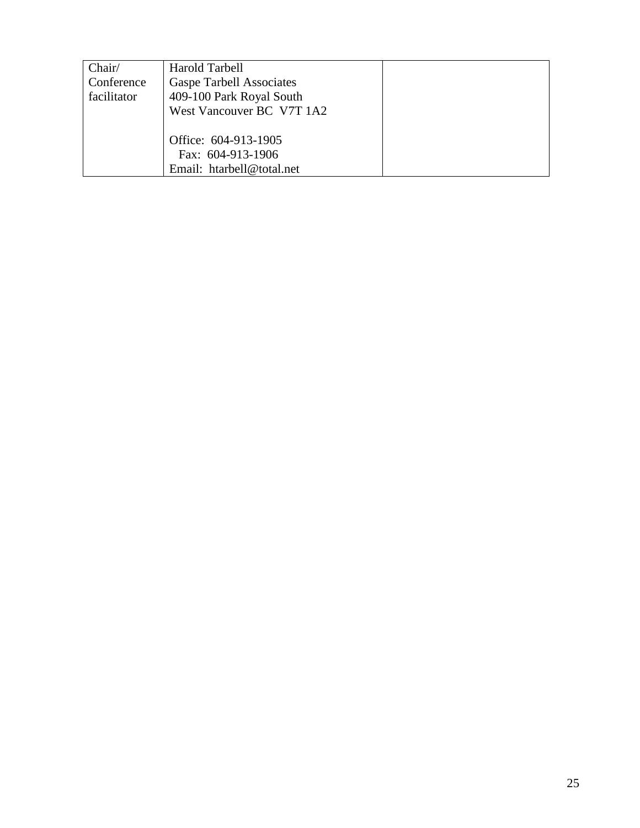| Chair/<br>Conference<br>facilitator | Harold Tarbell<br><b>Gaspe Tarbell Associates</b><br>409-100 Park Royal South |  |
|-------------------------------------|-------------------------------------------------------------------------------|--|
|                                     | West Vancouver BC V7T 1A2                                                     |  |
|                                     | Office: 604-913-1905<br>Fax: 604-913-1906                                     |  |
|                                     | Email: htarbell@total.net                                                     |  |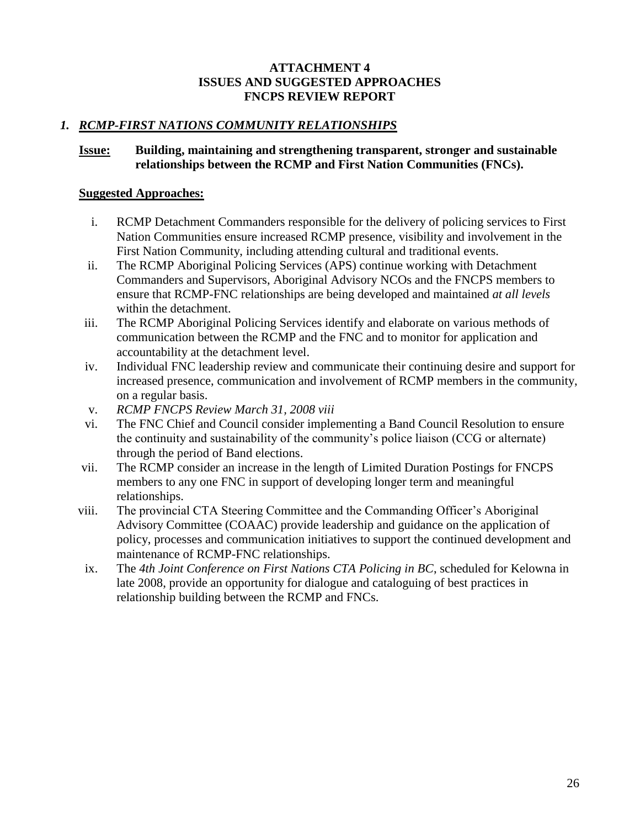#### **ATTACHMENT 4 ISSUES AND SUGGESTED APPROACHES FNCPS REVIEW REPORT**

# *1. RCMP-FIRST NATIONS COMMUNITY RELATIONSHIPS*

### **Issue: Building, maintaining and strengthening transparent, stronger and sustainable relationships between the RCMP and First Nation Communities (FNCs).**

- i. RCMP Detachment Commanders responsible for the delivery of policing services to First Nation Communities ensure increased RCMP presence, visibility and involvement in the First Nation Community, including attending cultural and traditional events.
- ii. The RCMP Aboriginal Policing Services (APS) continue working with Detachment Commanders and Supervisors, Aboriginal Advisory NCOs and the FNCPS members to ensure that RCMP-FNC relationships are being developed and maintained *at all levels*  within the detachment.
- iii. The RCMP Aboriginal Policing Services identify and elaborate on various methods of communication between the RCMP and the FNC and to monitor for application and accountability at the detachment level.
- iv. Individual FNC leadership review and communicate their continuing desire and support for increased presence, communication and involvement of RCMP members in the community, on a regular basis.
- v. *RCMP FNCPS Review March 31, 2008 viii*
- vi. The FNC Chief and Council consider implementing a Band Council Resolution to ensure the continuity and sustainability of the community"s police liaison (CCG or alternate) through the period of Band elections.
- vii. The RCMP consider an increase in the length of Limited Duration Postings for FNCPS members to any one FNC in support of developing longer term and meaningful relationships.
- viii. The provincial CTA Steering Committee and the Commanding Officer"s Aboriginal Advisory Committee (COAAC) provide leadership and guidance on the application of policy, processes and communication initiatives to support the continued development and maintenance of RCMP-FNC relationships.
- ix. The *4th Joint Conference on First Nations CTA Policing in BC*, scheduled for Kelowna in late 2008, provide an opportunity for dialogue and cataloguing of best practices in relationship building between the RCMP and FNCs.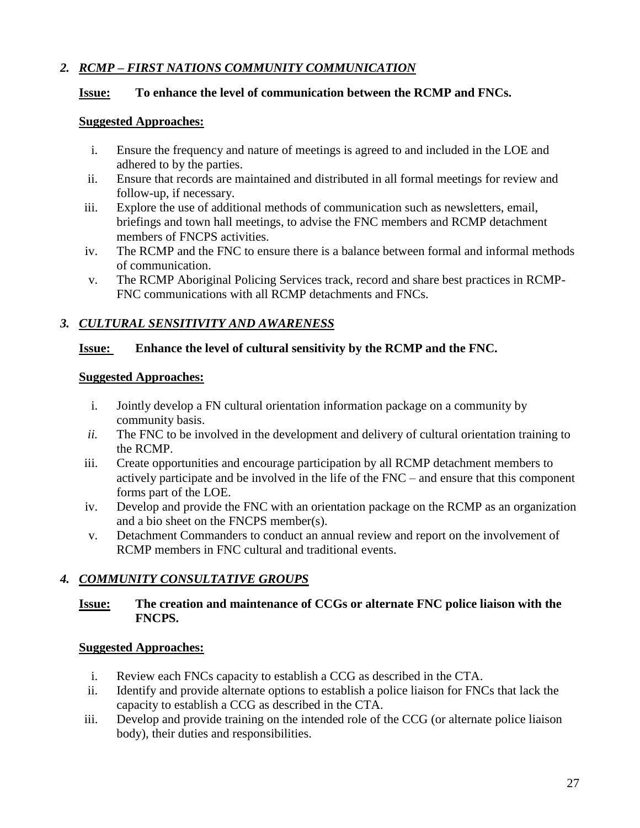# *2. RCMP – FIRST NATIONS COMMUNITY COMMUNICATION*

# **Issue: To enhance the level of communication between the RCMP and FNCs.**

### **Suggested Approaches:**

- i. Ensure the frequency and nature of meetings is agreed to and included in the LOE and adhered to by the parties.
- ii. Ensure that records are maintained and distributed in all formal meetings for review and follow-up, if necessary.
- iii. Explore the use of additional methods of communication such as newsletters, email, briefings and town hall meetings, to advise the FNC members and RCMP detachment members of FNCPS activities.
- iv. The RCMP and the FNC to ensure there is a balance between formal and informal methods of communication.
- v. The RCMP Aboriginal Policing Services track, record and share best practices in RCMP-FNC communications with all RCMP detachments and FNCs.

# *3. CULTURAL SENSITIVITY AND AWARENESS*

# **Issue: Enhance the level of cultural sensitivity by the RCMP and the FNC.**

### **Suggested Approaches:**

- i. Jointly develop a FN cultural orientation information package on a community by community basis.
- *ii.* The FNC to be involved in the development and delivery of cultural orientation training to the RCMP.
- iii. Create opportunities and encourage participation by all RCMP detachment members to actively participate and be involved in the life of the FNC – and ensure that this component forms part of the LOE.
- iv. Develop and provide the FNC with an orientation package on the RCMP as an organization and a bio sheet on the FNCPS member(s).
- v. Detachment Commanders to conduct an annual review and report on the involvement of RCMP members in FNC cultural and traditional events.

# *4. COMMUNITY CONSULTATIVE GROUPS*

# **Issue: The creation and maintenance of CCGs or alternate FNC police liaison with the FNCPS.**

- i. Review each FNCs capacity to establish a CCG as described in the CTA.
- ii. Identify and provide alternate options to establish a police liaison for FNCs that lack the capacity to establish a CCG as described in the CTA.
- iii. Develop and provide training on the intended role of the CCG (or alternate police liaison body), their duties and responsibilities.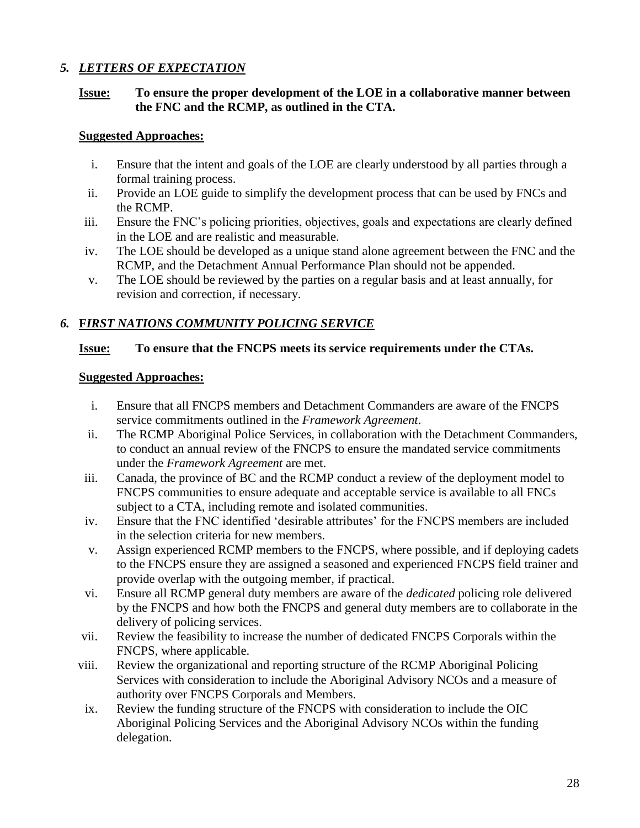# *5. LETTERS OF EXPECTATION*

# **Issue: To ensure the proper development of the LOE in a collaborative manner between the FNC and the RCMP, as outlined in the CTA.**

# **Suggested Approaches:**

- i. Ensure that the intent and goals of the LOE are clearly understood by all parties through a formal training process.
- ii. Provide an LOE guide to simplify the development process that can be used by FNCs and the RCMP.
- iii. Ensure the FNC"s policing priorities, objectives, goals and expectations are clearly defined in the LOE and are realistic and measurable.
- iv. The LOE should be developed as a unique stand alone agreement between the FNC and the RCMP, and the Detachment Annual Performance Plan should not be appended.
- v. The LOE should be reviewed by the parties on a regular basis and at least annually, for revision and correction, if necessary.

# *6.* **F***IRST NATIONS COMMUNITY POLICING SERVICE*

# **Issue: To ensure that the FNCPS meets its service requirements under the CTAs.**

- i. Ensure that all FNCPS members and Detachment Commanders are aware of the FNCPS service commitments outlined in the *Framework Agreement*.
- ii. The RCMP Aboriginal Police Services, in collaboration with the Detachment Commanders, to conduct an annual review of the FNCPS to ensure the mandated service commitments under the *Framework Agreement* are met.
- iii. Canada, the province of BC and the RCMP conduct a review of the deployment model to FNCPS communities to ensure adequate and acceptable service is available to all FNCs subject to a CTA, including remote and isolated communities.
- iv. Ensure that the FNC identified "desirable attributes" for the FNCPS members are included in the selection criteria for new members.
- v. Assign experienced RCMP members to the FNCPS, where possible, and if deploying cadets to the FNCPS ensure they are assigned a seasoned and experienced FNCPS field trainer and provide overlap with the outgoing member, if practical.
- vi. Ensure all RCMP general duty members are aware of the *dedicated* policing role delivered by the FNCPS and how both the FNCPS and general duty members are to collaborate in the delivery of policing services.
- vii. Review the feasibility to increase the number of dedicated FNCPS Corporals within the FNCPS, where applicable.
- viii. Review the organizational and reporting structure of the RCMP Aboriginal Policing Services with consideration to include the Aboriginal Advisory NCOs and a measure of authority over FNCPS Corporals and Members.
- ix. Review the funding structure of the FNCPS with consideration to include the OIC Aboriginal Policing Services and the Aboriginal Advisory NCOs within the funding delegation.